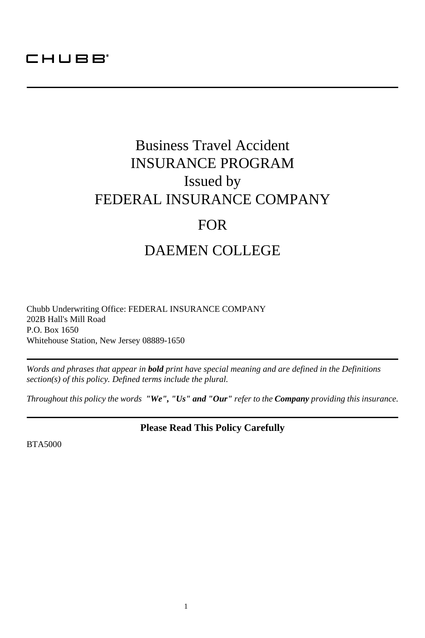## CHUBB<sup>®</sup>

## Business Travel Accident INSURANCE PROGRAM Issued by FEDERAL INSURANCE COMPANY FOR DAEMEN COLLEGE

Chubb Underwriting Office: FEDERAL INSURANCE COMPANY 202B Hall's Mill Road P.O. Box 1650 Whitehouse Station, New Jersey 08889-1650

*Words and phrases that appear in bold print have special meaning and are defined in the Definitions section(s) of this policy. Defined terms include the plural.*

*Throughout this policy the words "We", "Us" and "Our" refer to the Company providing this insurance.*

**Please Read This Policy Carefully**

BTA5000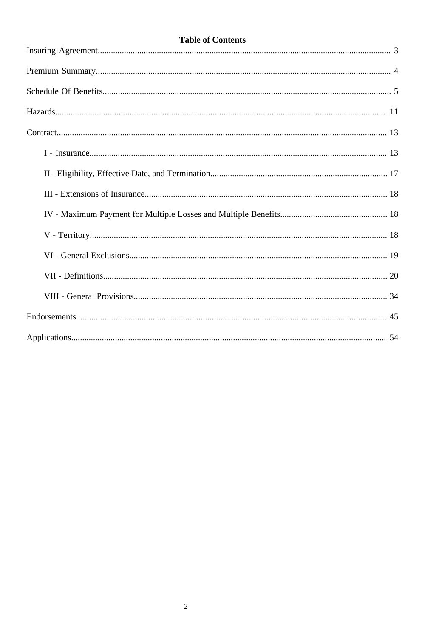## **Table of Contents**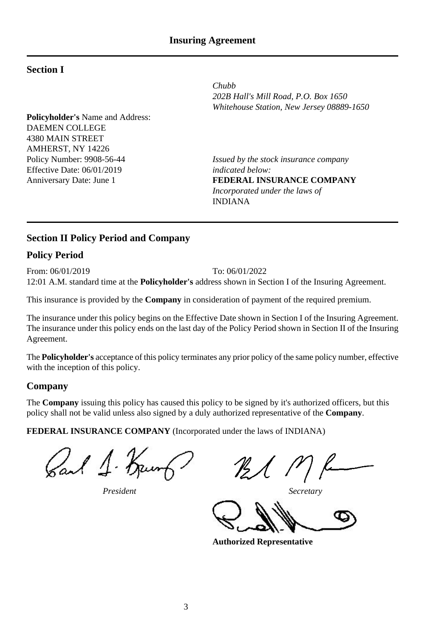## **Section I**

**Policyholder's** Name and Address: DAEMEN COLLEGE 4380 MAIN STREET AMHERST, NY 14226<br>Policy Number: 9908-56-44 Effective Date: 06/01/2019<br>Anniversary Date: June 1

*Chubb 202B Hall's Mill Road, P.O. Box 1650 Whitehouse Station, New Jersey 08889-1650*

Issued by the stock insurance company<br>indicated below: **FEDERAL INSURANCE COMPANY** *Incorporated under the laws of* INDIANA

#### **Section II Policy Period and Company**

## **Policy Period**

From: 06/01/2019 To: 06/01/2022 12:01 A.M. standard time at the **Policyholder's** address shown in Section I of the Insuring Agreement.

This insurance is provided by the **Company** in consideration of payment of the required premium.

The insurance under this policy begins on the Effective Date shown in Section I of the Insuring Agreement. The insurance under this policy ends on the last day of the Policy Period shown in Section II of the Insuring Agreement.

The **Policyholder's** acceptance of this policy terminates any prior policy of the same policy number, effective with the inception of this policy.

#### **Company**

The **Company** issuing this policy has caused this policy to be signed by it's authorized officers, but this policy shall not be valid unless also signed by a duly authorized representative of the **Company**.

**FEDERAL INSURANCE COMPANY** (Incorporated under the laws of INDIANA)

Sail 1. Keunt

*President Secretary*

Ø

**Authorized Representative**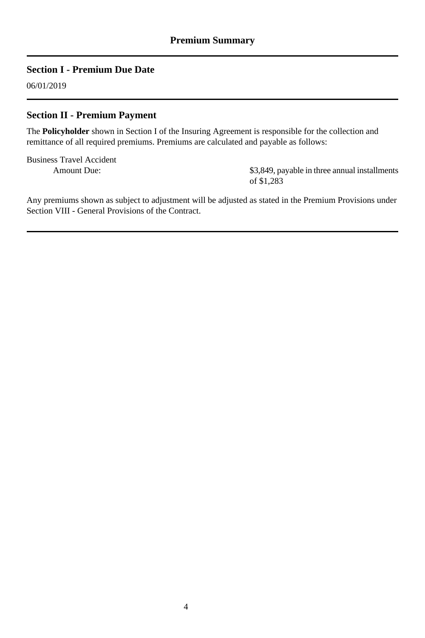## **Section I - Premium Due Date**

06/01/2019

### **Section II - Premium Payment**

The **Policyholder** shown in Section I of the Insuring Agreement is responsible for the collection and remittance of all required premiums. Premiums are calculated and payable as follows:

Business Travel Accident Amount Due:

\$3,849, payable in three annual installments of \$1,283

Any premiums shown as subject to adjustment will be adjusted as stated in the Premium Provisions under Section VIII - General Provisions of the Contract.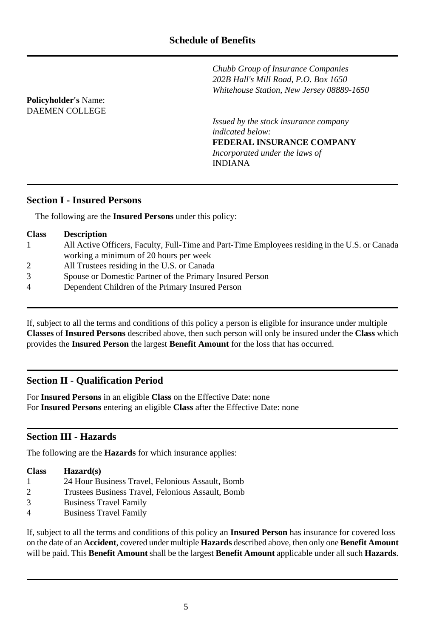*Chubb Group of Insurance Companies 202B Hall's Mill Road, P.O. Box 1650 Whitehouse Station, New Jersey 08889-1650*

*Issued by the stock insurance company indicated below:* **FEDERAL INSURANCE COMPANY** *Incorporated under the laws of* INDIANA

## **Section I - Insured Persons**

**Policyholder's** Name: DAEMEN COLLEGE

The following are the **Insured Persons** under this policy:

| <b>Description</b>                                                                             |
|------------------------------------------------------------------------------------------------|
| All Active Officers, Faculty, Full-Time and Part-Time Employees residing in the U.S. or Canada |
| working a minimum of 20 hours per week                                                         |
| All Trustees residing in the U.S. or Canada                                                    |
| Spouse or Domestic Partner of the Primary Insured Person                                       |
| Dependent Children of the Primary Insured Person                                               |
|                                                                                                |
|                                                                                                |

If, subject to all the terms and conditions of this policy a person is eligible for insurance under multiple **Classes** of **Insured Persons** described above, then such person will only be insured under the **Class** which provides the **Insured Person** the largest **Benefit Amount** for the loss that has occurred.

## **Section II - Qualification Period**

For **Insured Persons** in an eligible **Class** on the Effective Date: none For **Insured Persons** entering an eligible **Class** after the Effective Date: none

## **Section III - Hazards**

The following are the **Hazards** for which insurance applies:

| <b>Class</b> | $\mathbf{Hazard}(s)$                             |
|--------------|--------------------------------------------------|
|              | 24 Hour Business Travel, Felonious Assault, Bomb |

- 2 Trustees Business Travel, Felonious Assault, Bomb
- 3 Business Travel Family
- 4 Business Travel Family

If, subject to all the terms and conditions of this policy an **Insured Person** has insurance for covered loss on the date of an **Accident**, covered under multiple **Hazards** described above, then only one **Benefit Amount** will be paid. This **Benefit Amount** shall be the largest **Benefit Amount** applicable under all such **Hazards**.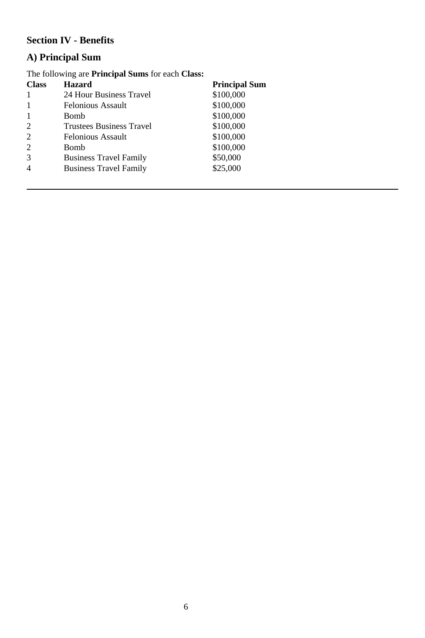## **Section IV - Benefits**

## **A) Principal Sum**

| The following are <b>Principal Sums</b> for each <b>Class</b> : |                                 |                      |  |
|-----------------------------------------------------------------|---------------------------------|----------------------|--|
| <b>Class</b>                                                    | <b>Hazard</b>                   | <b>Principal Sum</b> |  |
|                                                                 | 24 Hour Business Travel         | \$100,000            |  |
| -1                                                              | Felonious Assault               | \$100,000            |  |
| 1                                                               | Bomb                            | \$100,000            |  |
| $\overline{2}$                                                  | <b>Trustees Business Travel</b> | \$100,000            |  |
| $\overline{c}$                                                  | Felonious Assault               | \$100,000            |  |
| $\overline{2}$                                                  | Bomb                            | \$100,000            |  |
| 3                                                               | <b>Business Travel Family</b>   | \$50,000             |  |
| $\overline{4}$                                                  | <b>Business Travel Family</b>   | \$25,000             |  |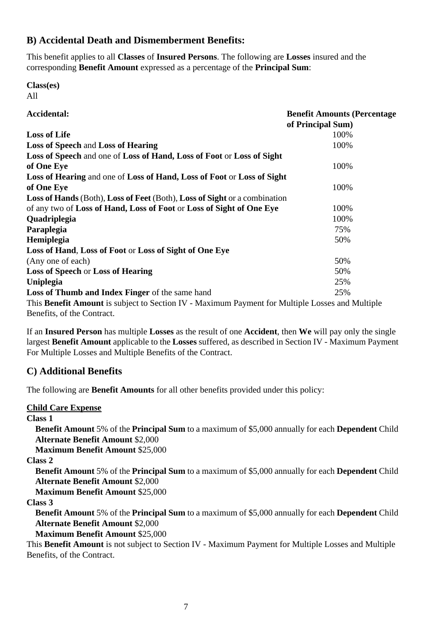## **B) Accidental Death and Dismemberment Benefits:**

This benefit applies to all **Classes** of **Insured Persons**. The following are **Losses** insured and the corresponding **Benefit Amount** expressed as a percentage of the **Principal Sum**:

**Class(es)**  $\Delta$ 11

| Accidental:                                                                                     | <b>Benefit Amounts (Percentage)</b><br>of Principal Sum) |
|-------------------------------------------------------------------------------------------------|----------------------------------------------------------|
| <b>Loss of Life</b>                                                                             | 100%                                                     |
| <b>Loss of Speech and Loss of Hearing</b>                                                       | 100%                                                     |
| Loss of Speech and one of Loss of Hand, Loss of Foot or Loss of Sight                           |                                                          |
| of One Eve                                                                                      | 100%                                                     |
| Loss of Hearing and one of Loss of Hand, Loss of Foot or Loss of Sight                          |                                                          |
| of One Eve                                                                                      | 100%                                                     |
| Loss of Hands (Both), Loss of Feet (Both), Loss of Sight or a combination                       |                                                          |
| of any two of Loss of Hand, Loss of Foot or Loss of Sight of One Eye                            | 100%                                                     |
| <b>Ouadriplegia</b>                                                                             | 100%                                                     |
| Paraplegia                                                                                      | 75%                                                      |
| Hemiplegia                                                                                      | 50%                                                      |
| Loss of Hand, Loss of Foot or Loss of Sight of One Eye                                          |                                                          |
| (Any one of each)                                                                               | 50%                                                      |
| <b>Loss of Speech or Loss of Hearing</b>                                                        | 50%                                                      |
| Uniplegia                                                                                       | 25%                                                      |
| Loss of Thumb and Index Finger of the same hand                                                 | 25%                                                      |
| This Benefit Amount is subject to Section IV - Maximum Payment for Multiple Losses and Multiple |                                                          |
| Benefits, of the Contract.                                                                      |                                                          |

If an **Insured Person** has multiple **Losses** as the result of one **Accident**, then **We** will pay only the single largest **Benefit Amount** applicable to the **Losses** suffered, as described in Section IV - Maximum Payment For Multiple Losses and Multiple Benefits of the Contract.

## **C) Additional Benefits**

The following are **Benefit Amounts** for all other benefits provided under this policy:

#### **Child Care Expense**

**Class 1**

**Benefit Amount** 5% of the **Principal Sum** to a maximum of \$5,000 annually for each **Dependent** Child **Alternate Benefit Amount** \$2,000

**Maximum Benefit Amount** \$25,000

**Class 2**

**Benefit Amount** 5% of the **Principal Sum** to a maximum of \$5,000 annually for each **Dependent** Child **Alternate Benefit Amount** \$2,000

**Maximum Benefit Amount** \$25,000

**Class 3**

**Benefit Amount** 5% of the **Principal Sum** to a maximum of \$5,000 annually for each **Dependent** Child **Alternate Benefit Amount** \$2,000

**Maximum Benefit Amount** \$25,000

This **Benefit Amount** is not subject to Section IV - Maximum Payment for Multiple Losses and Multiple Benefits, of the Contract.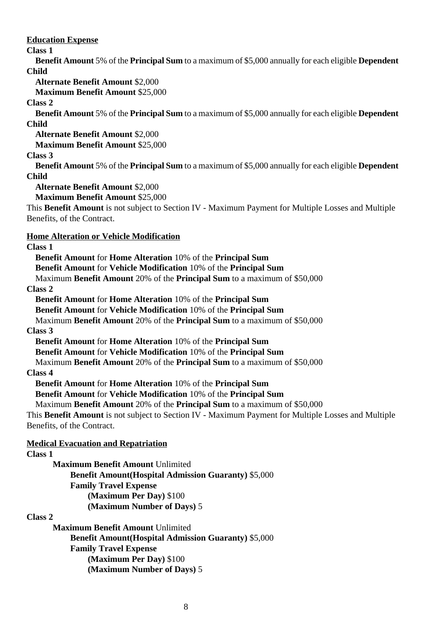**Education Expense**

### **Class 1**

**Benefit Amount** 5% of the **Principal Sum** to a maximum of \$5,000 annually for each eligible **Dependent Child**

**Alternate Benefit Amount** \$2,000

**Maximum Benefit Amount** \$25,000

#### **Class 2**

**Benefit Amount** 5% of the **Principal Sum** to a maximum of \$5,000 annually for each eligible **Dependent Child**

**Alternate Benefit Amount** \$2,000

**Maximum Benefit Amount** \$25,000

#### **Class 3**

**Benefit Amount** 5% of the **Principal Sum** to a maximum of \$5,000 annually for each eligible **Dependent Child**

**Alternate Benefit Amount** \$2,000

**Maximum Benefit Amount** \$25,000

This **Benefit Amount** is not subject to Section IV - Maximum Payment for Multiple Losses and Multiple Benefits, of the Contract.

#### **Home Alteration or Vehicle Modification**

#### **Class 1**

**Benefit Amount** for **Home Alteration** 10% of the **Principal Sum Benefit Amount** for **Vehicle Modification** 10% of the **Principal Sum** Maximum **Benefit Amount** 20% of the **Principal Sum** to a maximum of \$50,000 **Class 2 Benefit Amount** for **Home Alteration** 10% of the **Principal Sum**

**Benefit Amount** for **Vehicle Modification** 10% of the **Principal Sum**

Maximum **Benefit Amount** 20% of the **Principal Sum** to a maximum of \$50,000 **Class 3**

**Benefit Amount** for **Home Alteration** 10% of the **Principal Sum**

**Benefit Amount** for **Vehicle Modification** 10% of the **Principal Sum**

Maximum **Benefit Amount** 20% of the **Principal Sum** to a maximum of \$50,000

#### **Class 4**

**Benefit Amount** for **Home Alteration** 10% of the **Principal Sum**

**Benefit Amount** for **Vehicle Modification** 10% of the **Principal Sum**

Maximum **Benefit Amount** 20% of the **Principal Sum** to a maximum of \$50,000

This **Benefit Amount** is not subject to Section IV - Maximum Payment for Multiple Losses and Multiple Benefits, of the Contract.

#### **Medical Evacuation and Repatriation**

#### **Class 1**

**Maximum Benefit Amount** Unlimited **Benefit Amount(Hospital Admission Guaranty)** \$5,000 **Family Travel Expense (Maximum Per Day)** \$100 **(Maximum Number of Days)** 5

#### **Class 2**

**Maximum Benefit Amount** Unlimited **Benefit Amount(Hospital Admission Guaranty)** \$5,000 **Family Travel Expense (Maximum Per Day)** \$100 **(Maximum Number of Days)** 5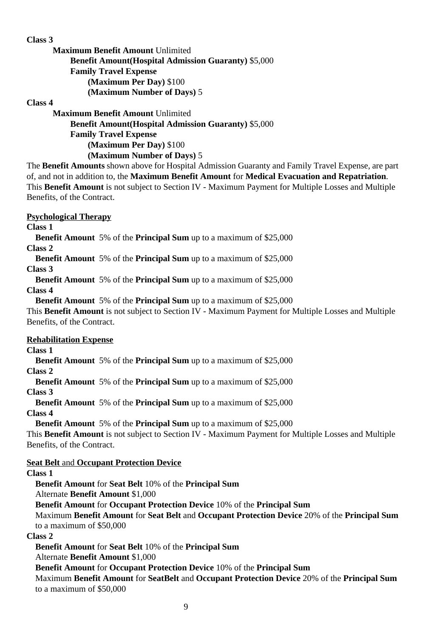#### **Class 3**

**Maximum Benefit Amount** Unlimited **Benefit Amount(Hospital Admission Guaranty)** \$5,000 **Family Travel Expense (Maximum Per Day)** \$100 **(Maximum Number of Days)** 5

#### **Class 4**

**Maximum Benefit Amount** Unlimited **Benefit Amount(Hospital Admission Guaranty)** \$5,000 **Family Travel Expense (Maximum Per Day)** \$100 **(Maximum Number of Days)** 5

The **Benefit Amounts** shown above for Hospital Admission Guaranty and Family Travel Expense, are part of, and not in addition to, the **Maximum Benefit Amount** for **Medical Evacuation and Repatriation**. This **Benefit Amount** is not subject to Section IV - Maximum Payment for Multiple Losses and Multiple Benefits, of the Contract.

#### **Psychological Therapy**

**Class 1**

**Benefit Amount** 5% of the **Principal Sum** up to a maximum of \$25,000

**Class 2**

**Benefit Amount** 5% of the **Principal Sum** up to a maximum of \$25,000

**Class 3**

**Benefit Amount** 5% of the **Principal Sum** up to a maximum of \$25,000 **Class 4**

**Benefit Amount** 5% of the **Principal Sum** up to a maximum of \$25,000

This **Benefit Amount** is not subject to Section IV - Maximum Payment for Multiple Losses and Multiple Benefits, of the Contract.

#### **Rehabilitation Expense**

**Class 1**

**Benefit Amount** 5% of the **Principal Sum** up to a maximum of \$25,000

**Class 2**

**Benefit Amount** 5% of the **Principal Sum** up to a maximum of \$25,000

**Class 3**

**Benefit Amount** 5% of the **Principal Sum** up to a maximum of \$25,000 **Class 4**

**Benefit Amount** 5% of the **Principal Sum** up to a maximum of \$25,000

This **Benefit Amount** is not subject to Section IV - Maximum Payment for Multiple Losses and Multiple Benefits, of the Contract.

**Seat Belt** and **Occupant Protection Device**

#### **Class 1**

**Benefit Amount** for **Seat Belt** 10% of the **Principal Sum**

Alternate **Benefit Amount** \$1,000

**Benefit Amount** for **Occupant Protection Device** 10% of the **Principal Sum**

Maximum **Benefit Amount** for **Seat Belt** and **Occupant Protection Device** 20% of the **Principal Sum** to a maximum of \$50,000

#### **Class 2**

**Benefit Amount** for **Seat Belt** 10% of the **Principal Sum**

Alternate **Benefit Amount** \$1,000

**Benefit Amount** for **Occupant Protection Device** 10% of the **Principal Sum**

Maximum **Benefit Amount** for **SeatBelt** and **Occupant Protection Device** 20% of the **Principal Sum** to a maximum of \$50,000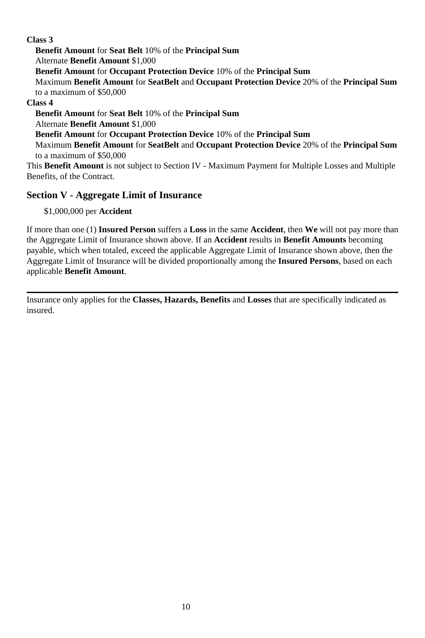### **Class 3**

**Benefit Amount** for **Seat Belt** 10% of the **Principal Sum** Alternate **Benefit Amount** \$1,000 **Benefit Amount** for **Occupant Protection Device** 10% of the **Principal Sum** Maximum **Benefit Amount** for **SeatBelt** and **Occupant Protection Device** 20% of the **Principal Sum** to a maximum of \$50,000 **Class 4 Benefit Amount** for **Seat Belt** 10% of the **Principal Sum** Alternate **Benefit Amount** \$1,000 **Benefit Amount** for **Occupant Protection Device** 10% of the **Principal Sum** Maximum **Benefit Amount** for **SeatBelt** and **Occupant Protection Device** 20% of the **Principal Sum** to a maximum of \$50,000

This **Benefit Amount** is not subject to Section IV - Maximum Payment for Multiple Losses and Multiple Benefits, of the Contract.

## **Section V - Aggregate Limit of Insurance**

\$1,000,000 per **Accident**

If more than one (1) **Insured Person** suffers a **Loss** in the same **Accident**, then **We** will not pay more than the Aggregate Limit of Insurance shown above. If an **Accident** results in **Benefit Amounts** becoming payable, which when totaled, exceed the applicable Aggregate Limit of Insurance shown above, then the Aggregate Limit of Insurance will be divided proportionally among the **Insured Persons**, based on each applicable **Benefit Amount**.

Insurance only applies for the **Classes, Hazards, Benefits** and **Losses** that are specifically indicated as insured.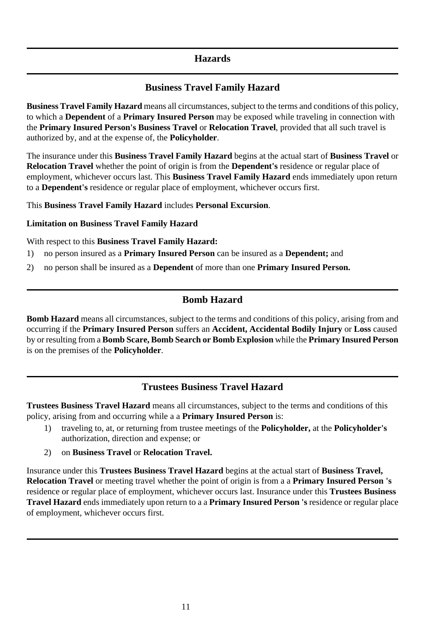## **Hazards**

## **Business Travel Family Hazard**

**Business Travel Family Hazard** means all circumstances, subject to the terms and conditions of this policy, to which a **Dependent** of a **Primary Insured Person** may be exposed while traveling in connection with the **Primary Insured Person's Business Travel** or **Relocation Travel**, provided that all such travel is authorized by, and at the expense of, the **Policyholder**.

The insurance under this **Business Travel Family Hazard** begins at the actual start of **Business Travel** or **Relocation Travel** whether the point of origin is from the **Dependent's** residence or regular place of employment, whichever occurs last. This **Business Travel Family Hazard** ends immediately upon return to a **Dependent's** residence or regular place of employment, whichever occurs first.

This **Business Travel Family Hazard** includes **Personal Excursion**.

#### **Limitation on Business Travel Family Hazard**

With respect to this **Business Travel Family Hazard:**

- 1) no person insured as a **Primary Insured Person** can be insured as a **Dependent;** and
- 2) no person shall be insured as a **Dependent** of more than one **Primary Insured Person.**

## **Bomb Hazard**

**Bomb Hazard** means all circumstances, subject to the terms and conditions of this policy, arising from and occurring if the **Primary Insured Person** suffers an **Accident, Accidental Bodily Injury** or **Loss** caused by or resulting from a **Bomb Scare, Bomb Search or Bomb Explosion** while the **Primary Insured Person** is on the premises of the **Policyholder**.

## **Trustees Business Travel Hazard**

**Trustees Business Travel Hazard** means all circumstances, subject to the terms and conditions of this policy, arising from and occurring while a a **Primary Insured Person** is:

- 1) traveling to, at, or returning from trustee meetings of the **Policyholder,** at the **Policyholder's** authorization, direction and expense; or
- 2) on **Business Travel** or **Relocation Travel.**

Insurance under this **Trustees Business Travel Hazard** begins at the actual start of **Business Travel, Relocation Travel** or meeting travel whether the point of origin is from a a **Primary Insured Person 's** residence or regular place of employment, whichever occurs last. Insurance under this **Trustees Business Travel Hazard** ends immediately upon return to a a **Primary Insured Person 's** residence or regular place of employment, whichever occurs first.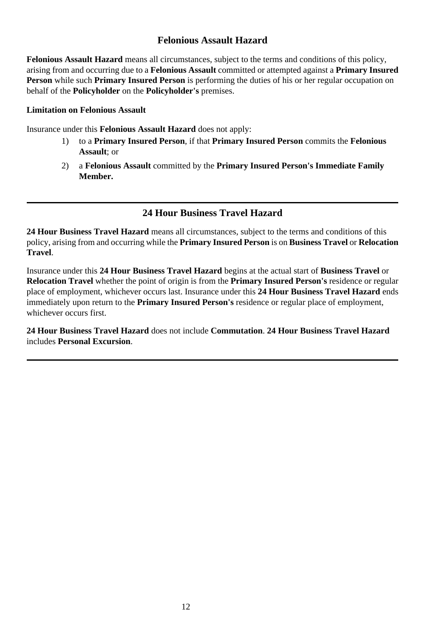## **Felonious Assault Hazard**

**Felonious Assault Hazard** means all circumstances, subject to the terms and conditions of this policy, arising from and occurring due to a **Felonious Assault** committed or attempted against a **Primary Insured Person** while such **Primary Insured Person** is performing the duties of his or her regular occupation on behalf of the **Policyholder** on the **Policyholder's** premises.

#### **Limitation on Felonious Assault**

Insurance under this **Felonious Assault Hazard** does not apply:

- 1) to a **Primary Insured Person**, if that **Primary Insured Person** commits the **Felonious Assault**; or
- 2) a **Felonious Assault** committed by the **Primary Insured Person's Immediate Family Member.**

## **24 Hour Business Travel Hazard**

**24 Hour Business Travel Hazard** means all circumstances, subject to the terms and conditions of this policy, arising from and occurring while the **Primary Insured Person** is on **Business Travel** or **Relocation Travel**.

Insurance under this **24 Hour Business Travel Hazard** begins at the actual start of **Business Travel** or **Relocation Travel** whether the point of origin is from the **Primary Insured Person's** residence or regular place of employment, whichever occurs last. Insurance under this **24 Hour Business Travel Hazard** ends immediately upon return to the **Primary Insured Person's** residence or regular place of employment, whichever occurs first.

**24 Hour Business Travel Hazard** does not include **Commutation**. **24 Hour Business Travel Hazard** includes **Personal Excursion**.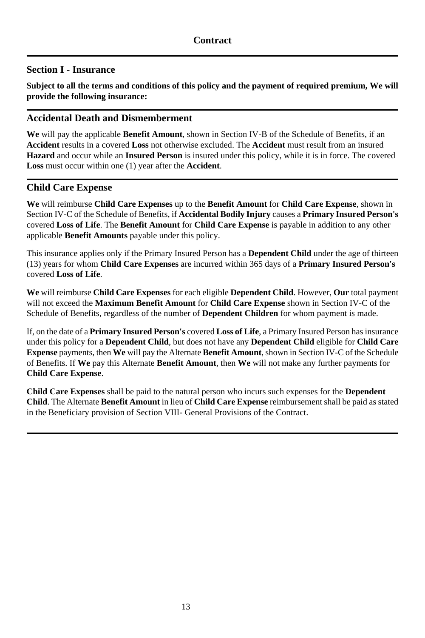## **Section I - Insurance**

**Subject to all the terms and conditions of this policy and the payment of required premium, We will provide the following insurance:**

### **Accidental Death and Dismemberment**

**We** will pay the applicable **Benefit Amount**, shown in Section IV-B of the Schedule of Benefits, if an **Accident** results in a covered **Loss** not otherwise excluded. The **Accident** must result from an insured **Hazard** and occur while an **Insured Person** is insured under this policy, while it is in force. The covered **Loss** must occur within one (1) year after the **Accident**.

### **Child Care Expense**

**We** will reimburse **Child Care Expenses** up to the **Benefit Amount** for **Child Care Expense**, shown in Section IV-C of the Schedule of Benefits, if **Accidental Bodily Injury** causes a **Primary Insured Person's** covered **Loss of Life**. The **Benefit Amount** for **Child Care Expense** is payable in addition to any other applicable **Benefit Amounts** payable under this policy.

This insurance applies only if the Primary Insured Person has a **Dependent Child** under the age of thirteen (13) years for whom **Child Care Expenses** are incurred within 365 days of a **Primary Insured Person's** covered **Loss of Life**.

**We** will reimburse **Child Care Expenses** for each eligible **Dependent Child**. However, **Our** total payment will not exceed the **Maximum Benefit Amount** for **Child Care Expense** shown in Section IV-C of the Schedule of Benefits, regardless of the number of **Dependent Children** for whom payment is made.

If, on the date of a **Primary Insured Person's** covered **Loss of Life**, a Primary Insured Person has insurance under this policy for a **Dependent Child**, but does not have any **Dependent Child** eligible for **Child Care Expense** payments, then **We** will pay the Alternate **Benefit Amount**, shown in Section IV-C of the Schedule of Benefits. If **We** pay this Alternate **Benefit Amount**, then **We** will not make any further payments for **Child Care Expense**.

**Child Care Expenses** shall be paid to the natural person who incurs such expenses for the **Dependent Child**. The Alternate **Benefit Amount** in lieu of **Child Care Expense** reimbursement shall be paid as stated in the Beneficiary provision of Section VIII- General Provisions of the Contract.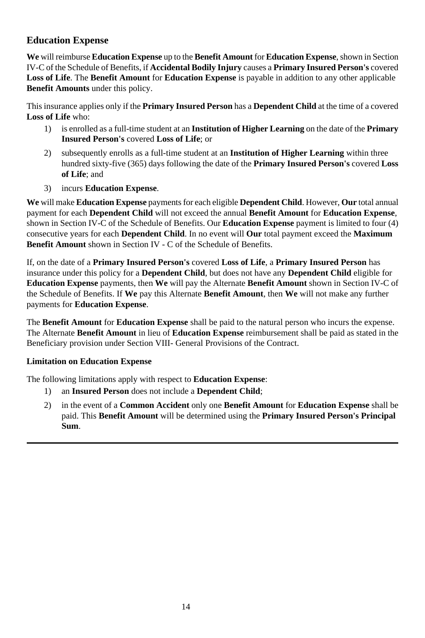## **Education Expense**

**We** will reimburse **Education Expense** up to the **Benefit Amount** for **Education Expense**, shown in Section IV-C of the Schedule of Benefits, if **Accidental Bodily Injury** causes a **Primary Insured Person's** covered **Loss of Life**. The **Benefit Amount** for **Education Expense** is payable in addition to any other applicable **Benefit Amounts** under this policy.

This insurance applies only if the **Primary Insured Person** has a **Dependent Child** at the time of a covered **Loss of Life** who:

- 1) is enrolled as a full-time student at an **Institution of Higher Learning** on the date of the **Primary Insured Person's** covered **Loss of Life**; or
- 2) subsequently enrolls as a full-time student at an **Institution of Higher Learning** within three hundred sixty-five (365) days following the date of the **Primary Insured Person's** covered **Loss of Life**; and
- 3) incurs **Education Expense**.

**We** will make **Education Expense** payments for each eligible **Dependent Child**. However, **Our** total annual payment for each **Dependent Child** will not exceed the annual **Benefit Amount** for **Education Expense**, shown in Section IV-C of the Schedule of Benefits. Our **Education Expense** payment is limited to four (4) consecutive years for each **Dependent Child**. In no event will **Our** total payment exceed the **Maximum Benefit Amount** shown in Section IV - C of the Schedule of Benefits.

If, on the date of a **Primary Insured Person's** covered **Loss of Life**, a **Primary Insured Person** has insurance under this policy for a **Dependent Child**, but does not have any **Dependent Child** eligible for **Education Expense** payments, then **We** will pay the Alternate **Benefit Amount** shown in Section IV-C of the Schedule of Benefits. If **We** pay this Alternate **Benefit Amount**, then **We** will not make any further payments for **Education Expense**.

The **Benefit Amount** for **Education Expense** shall be paid to the natural person who incurs the expense. The Alternate **Benefit Amount** in lieu of **Education Expense** reimbursement shall be paid as stated in the Beneficiary provision under Section VIII- General Provisions of the Contract.

#### **Limitation on Education Expense**

The following limitations apply with respect to **Education Expense**:

- 1) an **Insured Person** does not include a **Dependent Child**;
- 2) in the event of a **Common Accident** only one **Benefit Amount** for **Education Expense** shall be paid. This **Benefit Amount** will be determined using the **Primary Insured Person's Principal Sum**.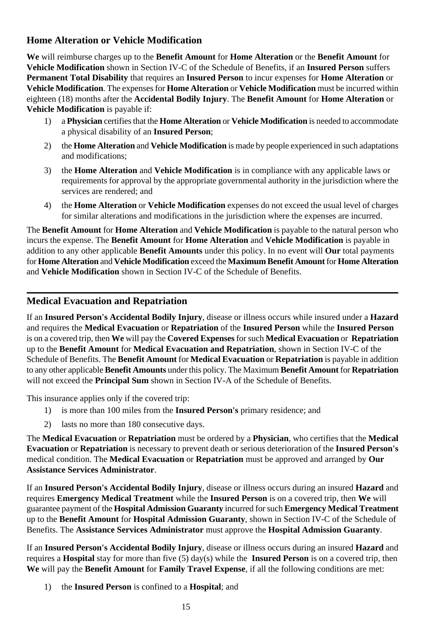## **Home Alteration or Vehicle Modification**

**We** will reimburse charges up to the **Benefit Amount** for **Home Alteration** or the **Benefit Amount** for **Vehicle Modification** shown in Section IV-C of the Schedule of Benefits, if an **Insured Person** suffers **Permanent Total Disability** that requires an **Insured Person** to incur expenses for **Home Alteration** or **Vehicle Modification**. The expenses for **Home Alteration** or **Vehicle Modification** must be incurred within eighteen (18) months after the **Accidental Bodily Injury**. The **Benefit Amount** for **Home Alteration** or **Vehicle Modification** is payable if:

- 1) a **Physician** certifies that the **Home Alteration** or **Vehicle Modification** is needed to accommodate a physical disability of an **Insured Person**;
- 2) the **Home Alteration** and **Vehicle Modification** is made by people experienced in such adaptations and modifications;
- 3) the **Home Alteration** and **Vehicle Modification** is in compliance with any applicable laws or requirements for approval by the appropriate governmental authority in the jurisdiction where the services are rendered; and
- 4) the **Home Alteration** or **Vehicle Modification** expenses do not exceed the usual level of charges for similar alterations and modifications in the jurisdiction where the expenses are incurred.

The **Benefit Amount** for **Home Alteration** and **Vehicle Modification** is payable to the natural person who incurs the expense. The **Benefit Amount** for **Home Alteration** and **Vehicle Modification** is payable in addition to any other applicable **Benefit Amounts** under this policy. In no event will **Our** total payments for **Home Alteration** and **Vehicle Modification** exceed the **Maximum Benefit Amount** for **Home Alteration** and **Vehicle Modification** shown in Section IV-C of the Schedule of Benefits.

### **Medical Evacuation and Repatriation**

If an **Insured Person's Accidental Bodily Injury**, disease or illness occurs while insured under a **Hazard** and requires the **Medical Evacuation** or **Repatriation** of the **Insured Person** while the **Insured Person** is on a covered trip, then **We** will pay the **Covered Expenses** for such **Medical Evacuation** or **Repatriation** up to the **Benefit Amount** for **Medical Evacuation and Repatriation**, shown in Section IV-C of the Schedule of Benefits. The **Benefit Amount** for **Medical Evacuation** or **Repatriation** is payable in addition to any other applicable **Benefit Amounts** under this policy. The Maximum **Benefit Amount** for **Repatriation** will not exceed the **Principal Sum** shown in Section IV-A of the Schedule of Benefits.

This insurance applies only if the covered trip:

- 1) is more than 100 miles from the **Insured Person's** primary residence; and
- 2) lasts no more than 180 consecutive days.

The **Medical Evacuation** or **Repatriation** must be ordered by a **Physician**, who certifies that the **Medical Evacuation** or **Repatriation** is necessary to prevent death or serious deterioration of the **Insured Person's** medical condition. The **Medical Evacuation** or **Repatriation** must be approved and arranged by **Our Assistance Services Administrator**.

If an **Insured Person's Accidental Bodily Injury**, disease or illness occurs during an insured **Hazard** and requires **Emergency Medical Treatment** while the **Insured Person** is on a covered trip, then **We** will guarantee payment of the **Hospital Admission Guaranty** incurred for such **Emergency Medical Treatment** up to the **Benefit Amount** for **Hospital Admission Guaranty**, shown in Section IV-C of the Schedule of Benefits. The **Assistance Services Administrator** must approve the **Hospital Admission Guaranty**.

If an **Insured Person's Accidental Bodily Injury**, disease or illness occurs during an insured **Hazard** and requires a **Hospital** stay for more than five (5) day(s) while the **Insured Person** is on a covered trip, then **We** will pay the **Benefit Amount** for **Family Travel Expense**, if all the following conditions are met:

1) the **Insured Person** is confined to a **Hospital**; and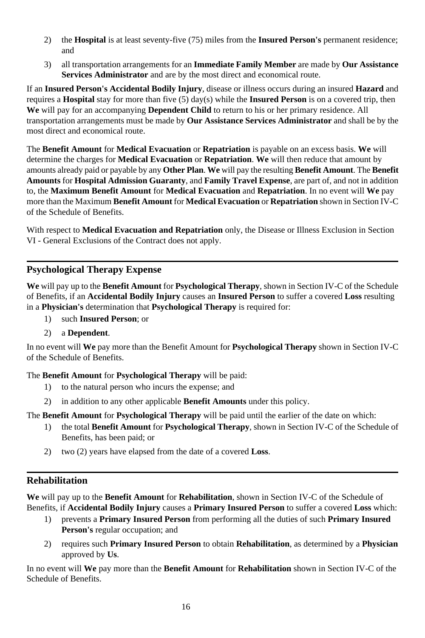- 2) the **Hospital** is at least seventy-five (75) miles from the **Insured Person's** permanent residence; and
- 3) all transportation arrangements for an **Immediate Family Member** are made by **Our Assistance Services Administrator** and are by the most direct and economical route.

If an **Insured Person's Accidental Bodily Injury**, disease or illness occurs during an insured **Hazard** and requires a **Hospital** stay for more than five (5) day(s) while the **Insured Person** is on a covered trip, then **We** will pay for an accompanying **Dependent Child** to return to his or her primary residence. All transportation arrangements must be made by **Our Assistance Services Administrator** and shall be by the most direct and economical route.

The **Benefit Amount** for **Medical Evacuation** or **Repatriation** is payable on an excess basis. **We** will determine the charges for **Medical Evacuation** or **Repatriation**. **We** will then reduce that amount by amounts already paid or payable by any **Other Plan**. **We** will pay the resulting **Benefit Amount**. The **Benefit Amounts** for **Hospital Admission Guaranty**, and **Family Travel Expense**, are part of, and not in addition to, the **Maximum Benefit Amount** for **Medical Evacuation** and **Repatriation**. In no event will **We** pay more than the Maximum **Benefit Amount** for **Medical Evacuation** or **Repatriation** shown in Section IV-C of the Schedule of Benefits.

With respect to **Medical Evacuation and Repatriation** only, the Disease or Illness Exclusion in Section VI - General Exclusions of the Contract does not apply.

### **Psychological Therapy Expense**

**We** will pay up to the **Benefit Amount** for **Psychological Therapy**, shown in Section IV-C of the Schedule of Benefits, if an **Accidental Bodily Injury** causes an **Insured Person** to suffer a covered **Loss** resulting in a **Physician's** determination that **Psychological Therapy** is required for:

- 1) such **Insured Person**; or
- 2) a **Dependent**.

In no event will **We** pay more than the Benefit Amount for **Psychological Therapy** shown in Section IV-C of the Schedule of Benefits.

The **Benefit Amount** for **Psychological Therapy** will be paid:

- 1) to the natural person who incurs the expense; and
- 2) in addition to any other applicable **Benefit Amounts** under this policy.

The **Benefit Amount** for **Psychological Therapy** will be paid until the earlier of the date on which:

- 1) the total **Benefit Amount** for **Psychological Therapy**, shown in Section IV-C of the Schedule of Benefits, has been paid; or
- 2) two (2) years have elapsed from the date of a covered **Loss**.

## **Rehabilitation**

**We** will pay up to the **Benefit Amount** for **Rehabilitation**, shown in Section IV-C of the Schedule of Benefits, if **Accidental Bodily Injury** causes a **Primary Insured Person** to suffer a covered **Loss** which:

- 1) prevents a **Primary Insured Person** from performing all the duties of such **Primary Insured Person's** regular occupation; and
- 2) requires such **Primary Insured Person** to obtain **Rehabilitation**, as determined by a **Physician** approved by **Us**.

In no event will **We** pay more than the **Benefit Amount** for **Rehabilitation** shown in Section IV-C of the Schedule of Benefits.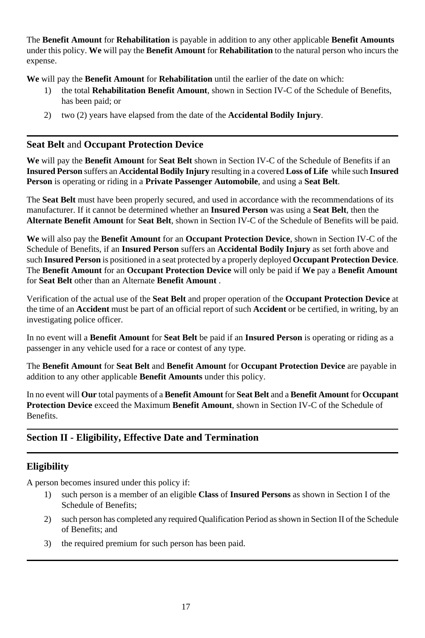The **Benefit Amount** for **Rehabilitation** is payable in addition to any other applicable **Benefit Amounts** under this policy. **We** will pay the **Benefit Amount** for **Rehabilitation** to the natural person who incurs the expense.

**We** will pay the **Benefit Amount** for **Rehabilitation** until the earlier of the date on which:

- 1) the total **Rehabilitation Benefit Amount**, shown in Section IV-C of the Schedule of Benefits, has been paid; or
- 2) two (2) years have elapsed from the date of the **Accidental Bodily Injury**.

### **Seat Belt** and **Occupant Protection Device**

**We** will pay the **Benefit Amount** for **Seat Belt** shown in Section IV-C of the Schedule of Benefits if an **Insured Person** suffers an **Accidental Bodily Injury** resulting in a covered **Loss of Life** while such **Insured Person** is operating or riding in a **Private Passenger Automobile**, and using a **Seat Belt**.

The **Seat Belt** must have been properly secured, and used in accordance with the recommendations of its manufacturer. If it cannot be determined whether an **Insured Person** was using a **Seat Belt**, then the **Alternate Benefit Amount** for **Seat Belt**, shown in Section IV-C of the Schedule of Benefits will be paid.

**We** will also pay the **Benefit Amount** for an **Occupant Protection Device**, shown in Section IV-C of the Schedule of Benefits, if an **Insured Person** suffers an **Accidental Bodily Injury** as set forth above and such **Insured Person** is positioned in a seat protected by a properly deployed **Occupant Protection Device**. The **Benefit Amount** for an **Occupant Protection Device** will only be paid if **We** pay a **Benefit Amount** for **Seat Belt** other than an Alternate **Benefit Amount** .

Verification of the actual use of the **Seat Belt** and proper operation of the **Occupant Protection Device** at the time of an **Accident** must be part of an official report of such **Accident** or be certified, in writing, by an investigating police officer.

In no event will a **Benefit Amount** for **Seat Belt** be paid if an **Insured Person** is operating or riding as a passenger in any vehicle used for a race or contest of any type.

The **Benefit Amount** for **Seat Belt** and **Benefit Amount** for **Occupant Protection Device** are payable in addition to any other applicable **Benefit Amounts** under this policy.

In no event will **Our** total payments of a **Benefit Amount** for **Seat Belt** and a **Benefit Amount** for **Occupant Protection Device** exceed the Maximum **Benefit Amount**, shown in Section IV-C of the Schedule of Benefits.

## **Section II - Eligibility, Effective Date and Termination**

## **Eligibility**

A person becomes insured under this policy if:

- 1) such person is a member of an eligible **Class** of **Insured Persons** as shown in Section I of the Schedule of Benefits;
- 2) such person has completed any required Qualification Period as shown in Section II of the Schedule of Benefits; and
- 3) the required premium for such person has been paid.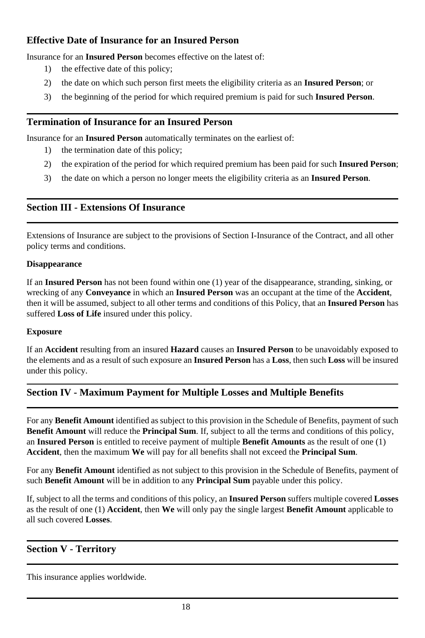## **Effective Date of Insurance for an Insured Person**

Insurance for an **Insured Person** becomes effective on the latest of:

- 1) the effective date of this policy;
- 2) the date on which such person first meets the eligibility criteria as an **Insured Person**; or
- 3) the beginning of the period for which required premium is paid for such **Insured Person**.

## **Termination of Insurance for an Insured Person**

Insurance for an **Insured Person** automatically terminates on the earliest of:

- 1) the termination date of this policy;
- 2) the expiration of the period for which required premium has been paid for such **Insured Person**;
- 3) the date on which a person no longer meets the eligibility criteria as an **Insured Person**.

## **Section III - Extensions Of Insurance**

Extensions of Insurance are subject to the provisions of Section I-Insurance of the Contract, and all other policy terms and conditions.

#### **Disappearance**

If an **Insured Person** has not been found within one (1) year of the disappearance, stranding, sinking, or wrecking of any **Conveyance** in which an **Insured Person** was an occupant at the time of the **Accident**, then it will be assumed, subject to all other terms and conditions of this Policy, that an **Insured Person** has suffered **Loss of Life** insured under this policy.

#### **Exposure**

If an **Accident** resulting from an insured **Hazard** causes an **Insured Person** to be unavoidably exposed to the elements and as a result of such exposure an **Insured Person** has a **Loss**, then such **Loss** will be insured under this policy.

## **Section IV - Maximum Payment for Multiple Losses and Multiple Benefits**

For any **Benefit Amount** identified as subject to this provision in the Schedule of Benefits, payment of such **Benefit Amount** will reduce the **Principal Sum**. If, subject to all the terms and conditions of this policy, an **Insured Person** is entitled to receive payment of multiple **Benefit Amounts** as the result of one (1) **Accident**, then the maximum **We** will pay for all benefits shall not exceed the **Principal Sum**.

For any **Benefit Amount** identified as not subject to this provision in the Schedule of Benefits, payment of such **Benefit Amount** will be in addition to any **Principal Sum** payable under this policy.

If, subject to all the terms and conditions of this policy, an **Insured Person** suffers multiple covered **Losses** as the result of one (1) **Accident**, then **We** will only pay the single largest **Benefit Amount** applicable to all such covered **Losses**.

## **Section V - Territory**

This insurance applies worldwide.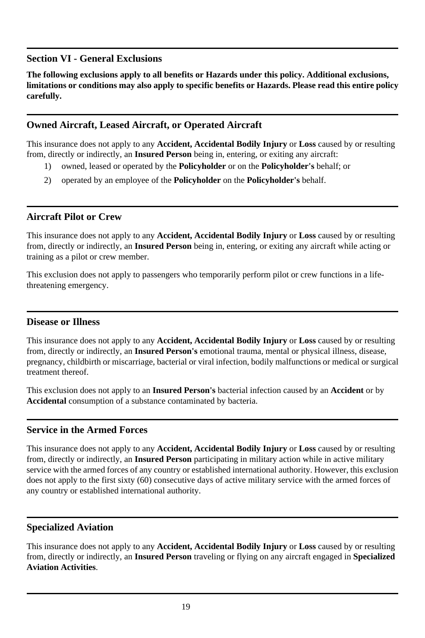## **Section VI - General Exclusions**

**The following exclusions apply to all benefits or Hazards under this policy. Additional exclusions, limitations or conditions may also apply to specific benefits or Hazards. Please read this entire policy carefully.**

## **Owned Aircraft, Leased Aircraft, or Operated Aircraft**

This insurance does not apply to any **Accident, Accidental Bodily Injury** or **Loss** caused by or resulting from, directly or indirectly, an **Insured Person** being in, entering, or exiting any aircraft:

- 1) owned, leased or operated by the **Policyholder** or on the **Policyholder's** behalf; or
- 2) operated by an employee of the **Policyholder** on the **Policyholder's** behalf.

## **Aircraft Pilot or Crew**

This insurance does not apply to any **Accident, Accidental Bodily Injury** or **Loss** caused by or resulting from, directly or indirectly, an **Insured Person** being in, entering, or exiting any aircraft while acting or training as a pilot or crew member.

This exclusion does not apply to passengers who temporarily perform pilot or crew functions in a lifethreatening emergency.

## **Disease or Illness**

This insurance does not apply to any **Accident, Accidental Bodily Injury** or **Loss** caused by or resulting from, directly or indirectly, an **Insured Person's** emotional trauma, mental or physical illness, disease, pregnancy, childbirth or miscarriage, bacterial or viral infection, bodily malfunctions or medical or surgical treatment thereof.

This exclusion does not apply to an **Insured Person's** bacterial infection caused by an **Accident** or by **Accidental** consumption of a substance contaminated by bacteria.

## **Service in the Armed Forces**

This insurance does not apply to any **Accident, Accidental Bodily Injury** or **Loss** caused by or resulting from, directly or indirectly, an **Insured Person** participating in military action while in active military service with the armed forces of any country or established international authority. However, this exclusion does not apply to the first sixty (60) consecutive days of active military service with the armed forces of any country or established international authority.

## **Specialized Aviation**

This insurance does not apply to any **Accident, Accidental Bodily Injury** or **Loss** caused by or resulting from, directly or indirectly, an **Insured Person** traveling or flying on any aircraft engaged in **Specialized Aviation Activities**.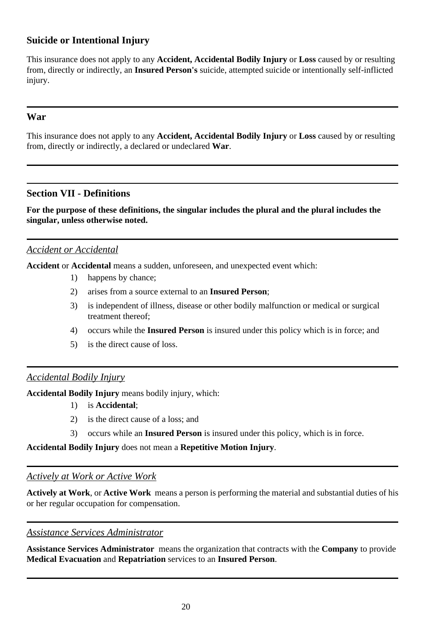## **Suicide or Intentional Injury**

This insurance does not apply to any **Accident, Accidental Bodily Injury** or **Loss** caused by or resulting from, directly or indirectly, an **Insured Person's** suicide, attempted suicide or intentionally self-inflicted injury.

### **War**

This insurance does not apply to any **Accident, Accidental Bodily Injury** or **Loss** caused by or resulting from, directly or indirectly, a declared or undeclared **War**.

## **Section VII - Definitions**

**For the purpose of these definitions, the singular includes the plural and the plural includes the singular, unless otherwise noted.**

### *Accident or Accidental*

**Accident** or **Accidental** means a sudden, unforeseen, and unexpected event which:

- 1) happens by chance;
- 2) arises from a source external to an **Insured Person**;
- 3) is independent of illness, disease or other bodily malfunction or medical or surgical treatment thereof;
- 4) occurs while the **Insured Person** is insured under this policy which is in force; and
- 5) is the direct cause of loss.

## *Accidental Bodily Injury*

**Accidental Bodily Injury** means bodily injury, which:

- 1) is **Accidental**;
- 2) is the direct cause of a loss; and
- 3) occurs while an **Insured Person** is insured under this policy, which is in force.

**Accidental Bodily Injury** does not mean a **Repetitive Motion Injury**.

#### *Actively at Work or Active Work*

**Actively at Work**, or **Active Work** means a person is performing the material and substantial duties of his or her regular occupation for compensation.

#### *Assistance Services Administrator*

**Assistance Services Administrator** means the organization that contracts with the **Company** to provide **Medical Evacuation** and **Repatriation** services to an **Insured Person**.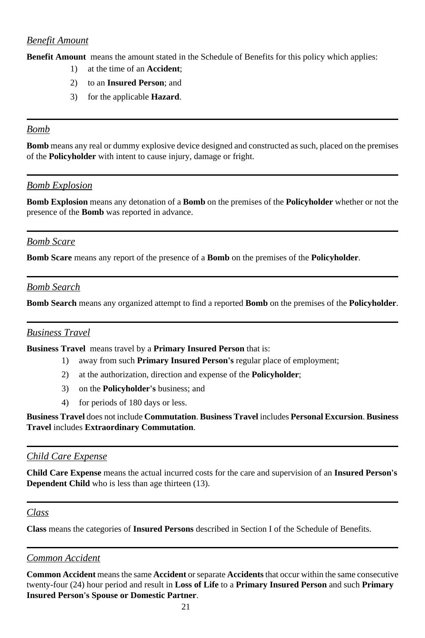### *Benefit Amount*

**Benefit Amount** means the amount stated in the Schedule of Benefits for this policy which applies:

- 1) at the time of an **Accident**;
- 2) to an **Insured Person**; and
- 3) for the applicable **Hazard**.

#### *Bomb*

**Bomb** means any real or dummy explosive device designed and constructed as such, placed on the premises of the **Policyholder** with intent to cause injury, damage or fright.

### *Bomb Explosion*

**Bomb Explosion** means any detonation of a **Bomb** on the premises of the **Policyholder** whether or not the presence of the **Bomb** was reported in advance.

## *Bomb Scare*

**Bomb Scare** means any report of the presence of a **Bomb** on the premises of the **Policyholder**.

### *Bomb Search*

**Bomb Search** means any organized attempt to find a reported **Bomb** on the premises of the **Policyholder**.

#### *Business Travel*

**Business Travel** means travel by a **Primary Insured Person** that is:

- 1) away from such **Primary Insured Person's** regular place of employment;
- 2) at the authorization, direction and expense of the **Policyholder**;
- 3) on the **Policyholder's** business; and
- 4) for periods of 180 days or less.

**Business Travel** does not include **Commutation**. **Business Travel** includes **Personal Excursion**. **Business Travel** includes **Extraordinary Commutation**.

#### *Child Care Expense*

**Child Care Expense** means the actual incurred costs for the care and supervision of an **Insured Person's Dependent Child** who is less than age thirteen (13).

## *Class*

**Class** means the categories of **Insured Persons** described in Section I of the Schedule of Benefits.

## *Common Accident*

**Common Accident** means the same **Accident** or separate **Accidents** that occur within the same consecutive twenty-four (24) hour period and result in **Loss of Life** to a **Primary Insured Person** and such **Primary Insured Person's Spouse or Domestic Partner**.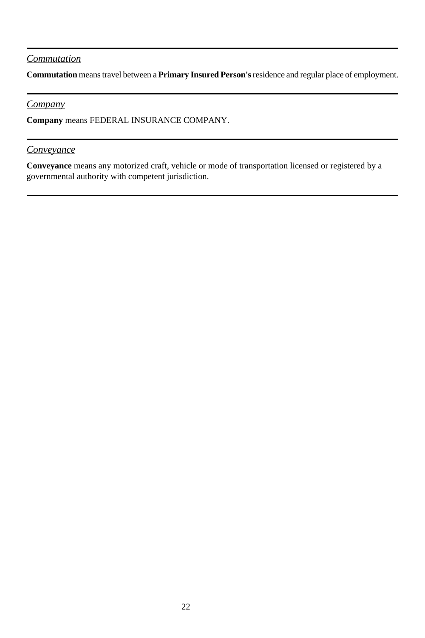## *Commutation*

**Commutation** means travel between a **Primary Insured Person's** residence and regular place of employment.

#### *Company*

**Company** means FEDERAL INSURANCE COMPANY.

#### *Conveyance*

**Conveyance** means any motorized craft, vehicle or mode of transportation licensed or registered by a governmental authority with competent jurisdiction.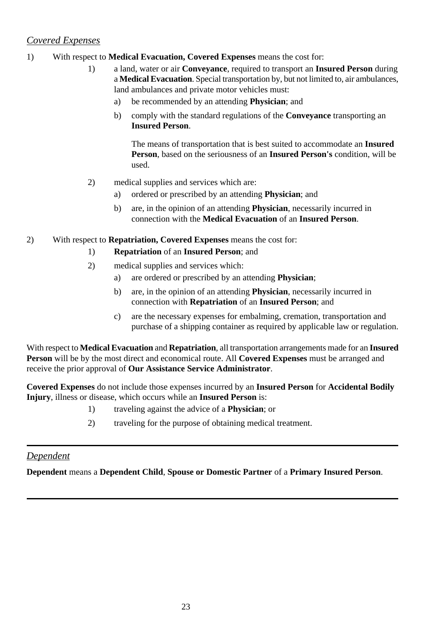## *Covered Expenses*

#### 1) With respect to **Medical Evacuation, Covered Expenses** means the cost for:

- 1) a land, water or air **Conveyance**, required to transport an **Insured Person** during a **Medical Evacuation**. Special transportation by, but not limited to, air ambulances, land ambulances and private motor vehicles must:
	- a) be recommended by an attending **Physician**; and
	- b) comply with the standard regulations of the **Conveyance** transporting an **Insured Person**.

The means of transportation that is best suited to accommodate an **Insured Person**, based on the seriousness of an **Insured Person's** condition, will be used.

#### 2) medical supplies and services which are:

- a) ordered or prescribed by an attending **Physician**; and
- b) are, in the opinion of an attending **Physician**, necessarily incurred in connection with the **Medical Evacuation** of an **Insured Person**.

2) With respect to **Repatriation, Covered Expenses** means the cost for:

- 1) **Repatriation** of an **Insured Person**; and
- 2) medical supplies and services which:
	- a) are ordered or prescribed by an attending **Physician**;
	- b) are, in the opinion of an attending **Physician**, necessarily incurred in connection with **Repatriation** of an **Insured Person**; and
	- c) are the necessary expenses for embalming, cremation, transportation and purchase of a shipping container as required by applicable law or regulation.

With respect to **Medical Evacuation** and **Repatriation**, all transportation arrangements made for an **Insured Person** will be by the most direct and economical route. All **Covered Expenses** must be arranged and receive the prior approval of **Our Assistance Service Administrator**.

**Covered Expenses** do not include those expenses incurred by an **Insured Person** for **Accidental Bodily Injury**, illness or disease, which occurs while an **Insured Person** is:

- 1) traveling against the advice of a **Physician**; or
- 2) traveling for the purpose of obtaining medical treatment.

## *Dependent*

**Dependent** means a **Dependent Child**, **Spouse or Domestic Partner** of a **Primary Insured Person**.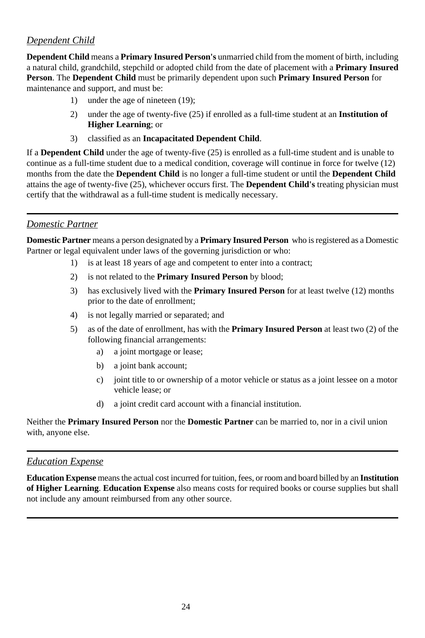## *Dependent Child*

**Dependent Child** means a **Primary Insured Person's** unmarried child from the moment of birth, including a natural child, grandchild, stepchild or adopted child from the date of placement with a **Primary Insured Person**. The **Dependent Child** must be primarily dependent upon such **Primary Insured Person** for maintenance and support, and must be:

- 1) under the age of nineteen (19);
- 2) under the age of twenty-five (25) if enrolled as a full-time student at an **Institution of Higher Learning**; or
- 3) classified as an **Incapacitated Dependent Child**.

If a **Dependent Child** under the age of twenty-five (25) is enrolled as a full-time student and is unable to continue as a full-time student due to a medical condition, coverage will continue in force for twelve (12) months from the date the **Dependent Child** is no longer a full-time student or until the **Dependent Child** attains the age of twenty-five (25), whichever occurs first. The **Dependent Child's** treating physician must certify that the withdrawal as a full-time student is medically necessary.

## *Domestic Partner*

**Domestic Partner** means a person designated by a **Primary Insured Person** who is registered as a Domestic Partner or legal equivalent under laws of the governing jurisdiction or who:

- 1) is at least 18 years of age and competent to enter into a contract;
- 2) is not related to the **Primary Insured Person** by blood;
- 3) has exclusively lived with the **Primary Insured Person** for at least twelve (12) months prior to the date of enrollment;
- 4) is not legally married or separated; and
- 5) as of the date of enrollment, has with the **Primary Insured Person** at least two (2) of the following financial arrangements:
	- a) a joint mortgage or lease;
	- b) a joint bank account;
	- c) joint title to or ownership of a motor vehicle or status as a joint lessee on a motor vehicle lease; or
	- d) a joint credit card account with a financial institution.

Neither the **Primary Insured Person** nor the **Domestic Partner** can be married to, nor in a civil union with, anyone else.

## *Education Expense*

**Education Expense** means the actual cost incurred for tuition, fees, or room and board billed by an **Institution of Higher Learning**. **Education Expense** also means costs for required books or course supplies but shall not include any amount reimbursed from any other source.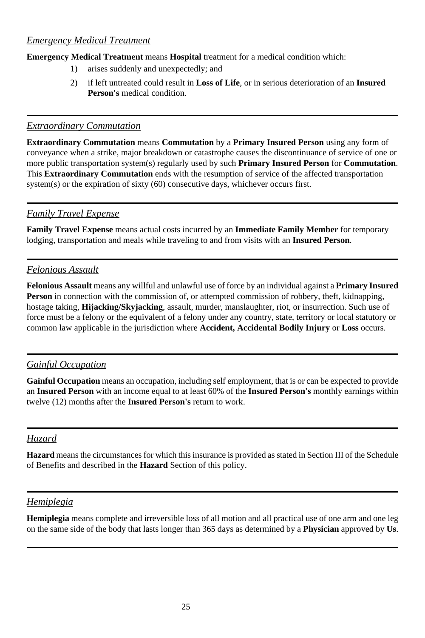### *Emergency Medical Treatment*

**Emergency Medical Treatment** means **Hospital** treatment for a medical condition which:

- 1) arises suddenly and unexpectedly; and
- 2) if left untreated could result in **Loss of Life**, or in serious deterioration of an **Insured Person's** medical condition.

#### *Extraordinary Commutation*

**Extraordinary Commutation** means **Commutation** by a **Primary Insured Person** using any form of conveyance when a strike, major breakdown or catastrophe causes the discontinuance of service of one or more public transportation system(s) regularly used by such **Primary Insured Person** for **Commutation**. This **Extraordinary Commutation** ends with the resumption of service of the affected transportation system(s) or the expiration of sixty (60) consecutive days, whichever occurs first.

## *Family Travel Expense*

**Family Travel Expense** means actual costs incurred by an **Immediate Family Member** for temporary lodging, transportation and meals while traveling to and from visits with an **Insured Person**.

## *Felonious Assault*

**Felonious Assault** means any willful and unlawful use of force by an individual against a **Primary Insured Person** in connection with the commission of, or attempted commission of robbery, theft, kidnapping, hostage taking, **Hijacking/Skyjacking**, assault, murder, manslaughter, riot, or insurrection. Such use of force must be a felony or the equivalent of a felony under any country, state, territory or local statutory or common law applicable in the jurisdiction where **Accident, Accidental Bodily Injury** or **Loss** occurs.

## *Gainful Occupation*

**Gainful Occupation** means an occupation, including self employment, that is or can be expected to provide an **Insured Person** with an income equal to at least 60% of the **Insured Person's** monthly earnings within twelve (12) months after the **Insured Person's** return to work.

## *Hazard*

**Hazard** means the circumstances for which this insurance is provided as stated in Section III of the Schedule of Benefits and described in the **Hazard** Section of this policy.

## *Hemiplegia*

**Hemiplegia** means complete and irreversible loss of all motion and all practical use of one arm and one leg on the same side of the body that lasts longer than 365 days as determined by a **Physician** approved by **Us**.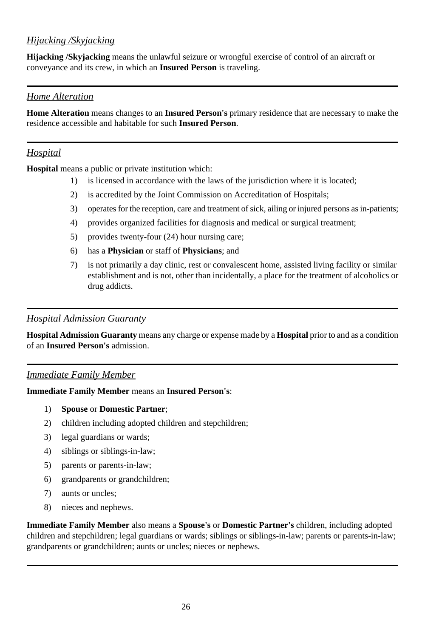## *Hijacking /Skyjacking*

**Hijacking /Skyjacking** means the unlawful seizure or wrongful exercise of control of an aircraft or conveyance and its crew, in which an **Insured Person** is traveling.

## *Home Alteration*

**Home Alteration** means changes to an **Insured Person's** primary residence that are necessary to make the residence accessible and habitable for such **Insured Person**.

## *Hospital*

**Hospital** means a public or private institution which:

- 1) is licensed in accordance with the laws of the jurisdiction where it is located;
- 2) is accredited by the Joint Commission on Accreditation of Hospitals;
- 3) operates for the reception, care and treatment of sick, ailing or injured persons as in-patients;
- 4) provides organized facilities for diagnosis and medical or surgical treatment;
- 5) provides twenty-four (24) hour nursing care;
- 6) has a **Physician** or staff of **Physicians**; and
- 7) is not primarily a day clinic, rest or convalescent home, assisted living facility or similar establishment and is not, other than incidentally, a place for the treatment of alcoholics or drug addicts.

#### *Hospital Admission Guaranty*

**Hospital Admission Guaranty** means any charge or expense made by a **Hospital** prior to and as a condition of an **Insured Person's** admission.

#### *Immediate Family Member*

#### **Immediate Family Member** means an **Insured Person's**:

- 1) **Spouse** or **Domestic Partner**;
- 2) children including adopted children and stepchildren;
- 3) legal guardians or wards;
- 4) siblings or siblings-in-law;
- 5) parents or parents-in-law;
- 6) grandparents or grandchildren;
- 7) aunts or uncles;
- 8) nieces and nephews.

**Immediate Family Member** also means a **Spouse's** or **Domestic Partner's** children, including adopted children and stepchildren; legal guardians or wards; siblings or siblings-in-law; parents or parents-in-law; grandparents or grandchildren; aunts or uncles; nieces or nephews.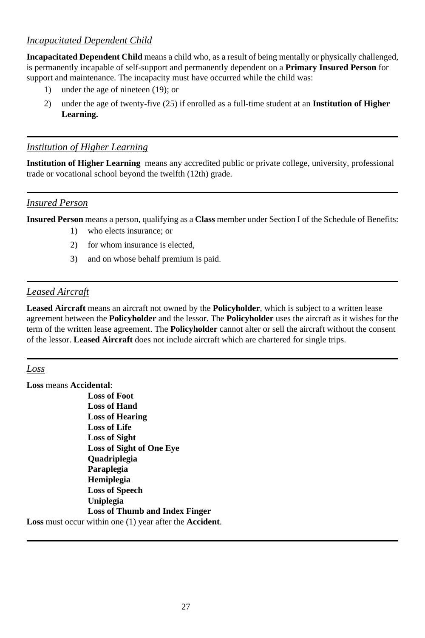## *Incapacitated Dependent Child*

**Incapacitated Dependent Child** means a child who, as a result of being mentally or physically challenged, is permanently incapable of self-support and permanently dependent on a **Primary Insured Person** for support and maintenance. The incapacity must have occurred while the child was:

- 1) under the age of nineteen (19); or
- 2) under the age of twenty-five (25) if enrolled as a full-time student at an **Institution of Higher Learning.**

#### *Institution of Higher Learning*

**Institution of Higher Learning** means any accredited public or private college, university, professional trade or vocational school beyond the twelfth (12th) grade.

#### *Insured Person*

**Insured Person** means a person, qualifying as a **Class** member under Section I of the Schedule of Benefits:

- 1) who elects insurance; or
- 2) for whom insurance is elected,
- 3) and on whose behalf premium is paid.

#### *Leased Aircraft*

**Leased Aircraft** means an aircraft not owned by the **Policyholder**, which is subject to a written lease agreement between the **Policyholder** and the lessor. The **Policyholder** uses the aircraft as it wishes for the term of the written lease agreement. The **Policyholder** cannot alter or sell the aircraft without the consent of the lessor. **Leased Aircraft** does not include aircraft which are chartered for single trips.

#### *Loss*

**Loss** means **Accidental**: **Loss of Foot Loss of Hand Loss of Hearing Loss of Life Loss of Sight Loss of Sight of One Eye Quadriplegia Paraplegia Hemiplegia Loss of Speech Uniplegia Loss of Thumb and Index Finger**

**Loss** must occur within one (1) year after the **Accident**.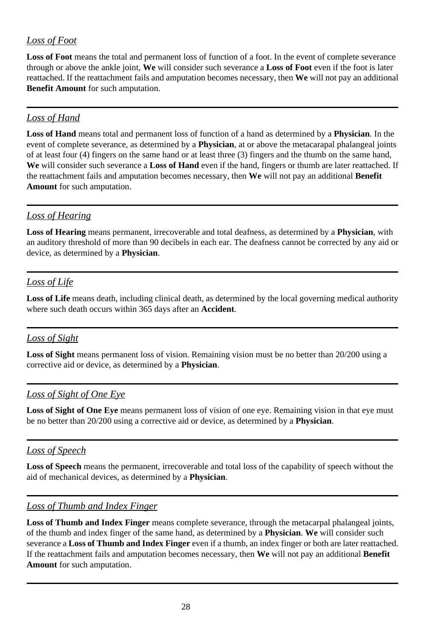## *Loss of Foot*

**Loss of Foot** means the total and permanent loss of function of a foot. In the event of complete severance through or above the ankle joint, **We** will consider such severance a **Loss of Foot** even if the foot is later reattached. If the reattachment fails and amputation becomes necessary, then **We** will not pay an additional **Benefit Amount** for such amputation.

## *Loss of Hand*

**Loss of Hand** means total and permanent loss of function of a hand as determined by a **Physician**. In the event of complete severance, as determined by a **Physician**, at or above the metacarapal phalangeal joints of at least four (4) fingers on the same hand or at least three (3) fingers and the thumb on the same hand, **We** will consider such severance a **Loss of Hand** even if the hand, fingers or thumb are later reattached. If the reattachment fails and amputation becomes necessary, then **We** will not pay an additional **Benefit Amount** for such amputation.

## *Loss of Hearing*

**Loss of Hearing** means permanent, irrecoverable and total deafness, as determined by a **Physician**, with an auditory threshold of more than 90 decibels in each ear. The deafness cannot be corrected by any aid or device, as determined by a **Physician**.

## *Loss of Life*

**Loss of Life** means death, including clinical death, as determined by the local governing medical authority where such death occurs within 365 days after an **Accident**.

## *Loss of Sight*

**Loss of Sight** means permanent loss of vision. Remaining vision must be no better than 20/200 using a corrective aid or device, as determined by a **Physician**.

## *Loss of Sight of One Eye*

**Loss of Sight of One Eye** means permanent loss of vision of one eye. Remaining vision in that eye must be no better than 20/200 using a corrective aid or device, as determined by a **Physician**.

## *Loss of Speech*

**Loss of Speech** means the permanent, irrecoverable and total loss of the capability of speech without the aid of mechanical devices, as determined by a **Physician**.

## *Loss of Thumb and Index Finger*

**Loss of Thumb and Index Finger** means complete severance, through the metacarpal phalangeal joints, of the thumb and index finger of the same hand, as determined by a **Physician**. **We** will consider such severance a **Loss of Thumb and Index Finger** even if a thumb, an index finger or both are later reattached. If the reattachment fails and amputation becomes necessary, then **We** will not pay an additional **Benefit Amount** for such amputation.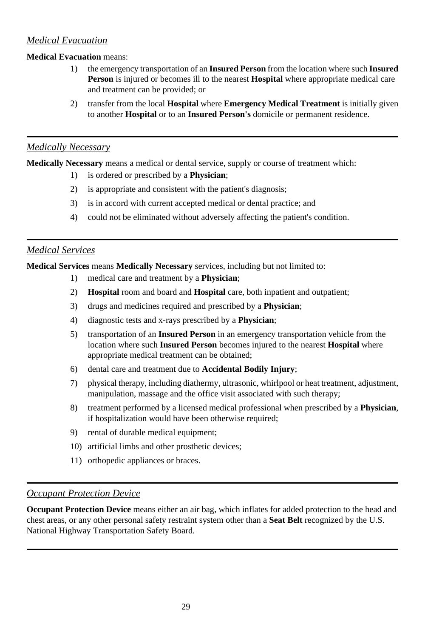## *Medical Evacuation*

#### **Medical Evacuation** means:

- 1) the emergency transportation of an **Insured Person** from the location where such **Insured Person** is injured or becomes ill to the nearest **Hospital** where appropriate medical care and treatment can be provided; or
- 2) transfer from the local **Hospital** where **Emergency Medical Treatment** is initially given to another **Hospital** or to an **Insured Person's** domicile or permanent residence.

#### *Medically Necessary*

**Medically Necessary** means a medical or dental service, supply or course of treatment which:

- 1) is ordered or prescribed by a **Physician**;
- 2) is appropriate and consistent with the patient's diagnosis;
- 3) is in accord with current accepted medical or dental practice; and
- 4) could not be eliminated without adversely affecting the patient's condition.

## *Medical Services*

**Medical Services** means **Medically Necessary** services, including but not limited to:

- 1) medical care and treatment by a **Physician**;
- 2) **Hospital** room and board and **Hospital** care, both inpatient and outpatient;
- 3) drugs and medicines required and prescribed by a **Physician**;
- 4) diagnostic tests and x-rays prescribed by a **Physician**;
- 5) transportation of an **Insured Person** in an emergency transportation vehicle from the location where such **Insured Person** becomes injured to the nearest **Hospital** where appropriate medical treatment can be obtained;
- 6) dental care and treatment due to **Accidental Bodily Injury**;
- 7) physical therapy, including diathermy, ultrasonic, whirlpool or heat treatment, adjustment, manipulation, massage and the office visit associated with such therapy;
- 8) treatment performed by a licensed medical professional when prescribed by a **Physician**, if hospitalization would have been otherwise required;
- 9) rental of durable medical equipment;
- 10) artificial limbs and other prosthetic devices;
- 11) orthopedic appliances or braces.

## *Occupant Protection Device*

**Occupant Protection Device** means either an air bag, which inflates for added protection to the head and chest areas, or any other personal safety restraint system other than a **Seat Belt** recognized by the U.S. National Highway Transportation Safety Board.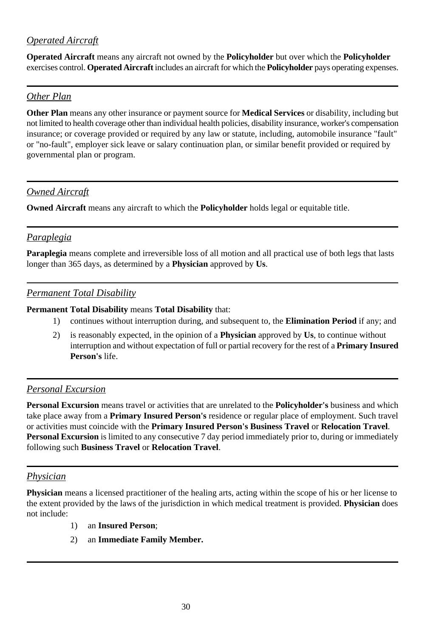## *Operated Aircraft*

**Operated Aircraft** means any aircraft not owned by the **Policyholder** but over which the **Policyholder** exercises control. **Operated Aircraft** includes an aircraft for which the **Policyholder** pays operating expenses.

### *Other Plan*

**Other Plan** means any other insurance or payment source for **Medical Services** or disability, including but not limited to health coverage other than individual health policies, disability insurance, worker's compensation insurance; or coverage provided or required by any law or statute, including, automobile insurance "fault" or "no-fault", employer sick leave or salary continuation plan, or similar benefit provided or required by governmental plan or program.

## *Owned Aircraft*

**Owned Aircraft** means any aircraft to which the **Policyholder** holds legal or equitable title.

### *Paraplegia*

**Paraplegia** means complete and irreversible loss of all motion and all practical use of both legs that lasts longer than 365 days, as determined by a **Physician** approved by **Us**.

#### *Permanent Total Disability*

**Permanent Total Disability** means **Total Disability** that:

- 1) continues without interruption during, and subsequent to, the **Elimination Period** if any; and
- 2) is reasonably expected, in the opinion of a **Physician** approved by **Us**, to continue without interruption and without expectation of full or partial recovery for the rest of a **Primary Insured Person's** life.

#### *Personal Excursion*

**Personal Excursion** means travel or activities that are unrelated to the **Policyholder's** business and which take place away from a **Primary Insured Person's** residence or regular place of employment. Such travel or activities must coincide with the **Primary Insured Person's Business Travel** or **Relocation Travel**. **Personal Excursion** is limited to any consecutive 7 day period immediately prior to, during or immediately following such **Business Travel** or **Relocation Travel**.

#### *Physician*

**Physician** means a licensed practitioner of the healing arts, acting within the scope of his or her license to the extent provided by the laws of the jurisdiction in which medical treatment is provided. **Physician** does not include:

- 1) an **Insured Person**;
- 2) an **Immediate Family Member.**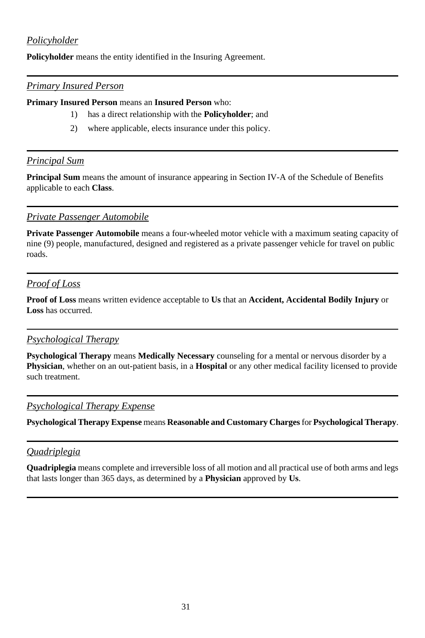## *Policyholder*

**Policyholder** means the entity identified in the Insuring Agreement.

#### *Primary Insured Person*

**Primary Insured Person** means an **Insured Person** who:

- 1) has a direct relationship with the **Policyholder**; and
- 2) where applicable, elects insurance under this policy.

#### *Principal Sum*

**Principal Sum** means the amount of insurance appearing in Section IV-A of the Schedule of Benefits applicable to each **Class**.

#### *Private Passenger Automobile*

**Private Passenger Automobile** means a four-wheeled motor vehicle with a maximum seating capacity of nine (9) people, manufactured, designed and registered as a private passenger vehicle for travel on public roads.

#### *Proof of Loss*

**Proof of Loss** means written evidence acceptable to **Us** that an **Accident, Accidental Bodily Injury** or **Loss** has occurred.

#### *Psychological Therapy*

**Psychological Therapy** means **Medically Necessary** counseling for a mental or nervous disorder by a **Physician**, whether on an out-patient basis, in a **Hospital** or any other medical facility licensed to provide such treatment.

#### *Psychological Therapy Expense*

**Psychological Therapy Expense** means **Reasonable and Customary Charges** for **Psychological Therapy**.

### *Quadriplegia*

**Quadriplegia** means complete and irreversible loss of all motion and all practical use of both arms and legs that lasts longer than 365 days, as determined by a **Physician** approved by **Us**.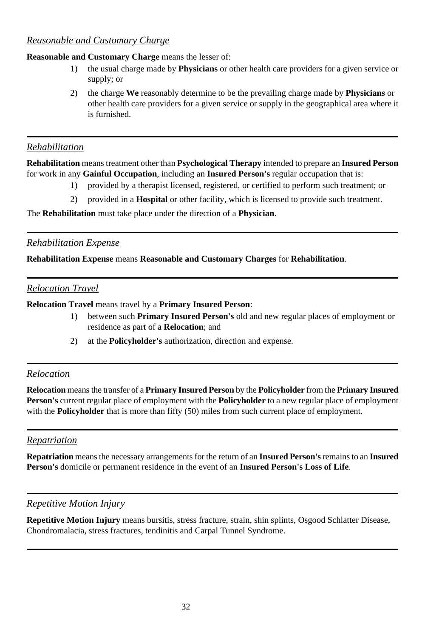### *Reasonable and Customary Charge*

#### **Reasonable and Customary Charge** means the lesser of:

- 1) the usual charge made by **Physicians** or other health care providers for a given service or supply; or
- 2) the charge **We** reasonably determine to be the prevailing charge made by **Physicians** or other health care providers for a given service or supply in the geographical area where it is furnished.

#### *Rehabilitation*

**Rehabilitation** means treatment other than **Psychological Therapy** intended to prepare an **Insured Person** for work in any **Gainful Occupation**, including an **Insured Person's** regular occupation that is:

- 1) provided by a therapist licensed, registered, or certified to perform such treatment; or
- 2) provided in a **Hospital** or other facility, which is licensed to provide such treatment.

The **Rehabilitation** must take place under the direction of a **Physician**.

#### *Rehabilitation Expense*

**Rehabilitation Expense** means **Reasonable and Customary Charges** for **Rehabilitation**.

#### *Relocation Travel*

**Relocation Travel** means travel by a **Primary Insured Person**:

- 1) between such **Primary Insured Person's** old and new regular places of employment or residence as part of a **Relocation**; and
- 2) at the **Policyholder's** authorization, direction and expense.

### *Relocation*

**Relocation** means the transfer of a **Primary Insured Person** by the **Policyholder** from the **Primary Insured Person's** current regular place of employment with the **Policyholder** to a new regular place of employment with the **Policyholder** that is more than fifty (50) miles from such current place of employment.

## *Repatriation*

**Repatriation** means the necessary arrangements for the return of an **Insured Person's** remains to an **Insured Person's** domicile or permanent residence in the event of an **Insured Person's Loss of Life**.

#### *Repetitive Motion Injury*

**Repetitive Motion Injury** means bursitis, stress fracture, strain, shin splints, Osgood Schlatter Disease, Chondromalacia, stress fractures, tendinitis and Carpal Tunnel Syndrome.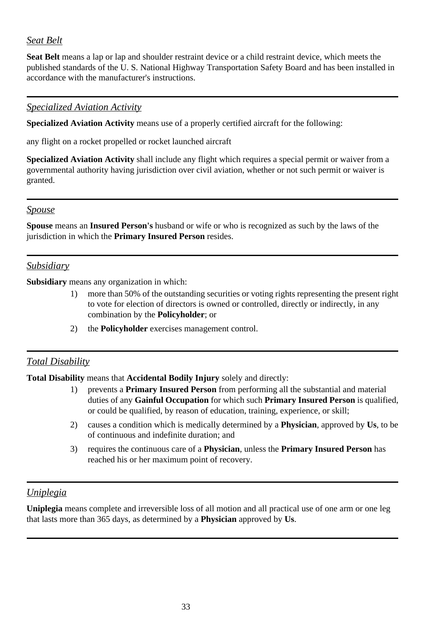## *Seat Belt*

**Seat Belt** means a lap or lap and shoulder restraint device or a child restraint device, which meets the published standards of the U. S. National Highway Transportation Safety Board and has been installed in accordance with the manufacturer's instructions.

#### *Specialized Aviation Activity*

**Specialized Aviation Activity** means use of a properly certified aircraft for the following:

any flight on a rocket propelled or rocket launched aircraft

**Specialized Aviation Activity** shall include any flight which requires a special permit or waiver from a governmental authority having jurisdiction over civil aviation, whether or not such permit or waiver is granted.

#### *Spouse*

**Spouse** means an **Insured Person's** husband or wife or who is recognized as such by the laws of the jurisdiction in which the **Primary Insured Person** resides.

### *Subsidiary*

**Subsidiary** means any organization in which:

- 1) more than 50% of the outstanding securities or voting rights representing the present right to vote for election of directors is owned or controlled, directly or indirectly, in any combination by the **Policyholder**; or
- 2) the **Policyholder** exercises management control.

## *Total Disability*

**Total Disability** means that **Accidental Bodily Injury** solely and directly:

- 1) prevents a **Primary Insured Person** from performing all the substantial and material duties of any **Gainful Occupation** for which such **Primary Insured Person** is qualified, or could be qualified, by reason of education, training, experience, or skill;
- 2) causes a condition which is medically determined by a **Physician**, approved by **Us**, to be of continuous and indefinite duration; and
- 3) requires the continuous care of a **Physician**, unless the **Primary Insured Person** has reached his or her maximum point of recovery.

## *Uniplegia*

**Uniplegia** means complete and irreversible loss of all motion and all practical use of one arm or one leg that lasts more than 365 days, as determined by a **Physician** approved by **Us**.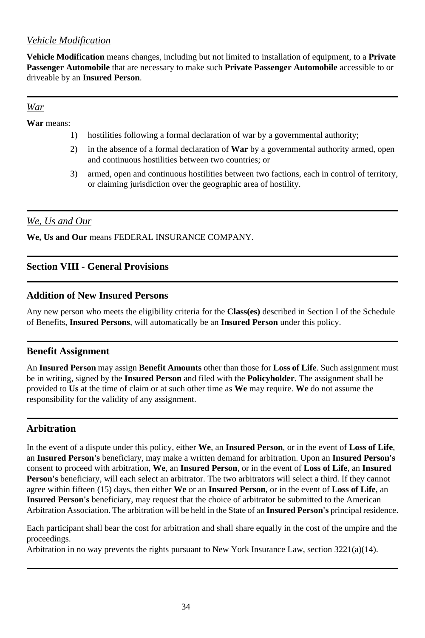## *Vehicle Modification*

**Vehicle Modification** means changes, including but not limited to installation of equipment, to a **Private Passenger Automobile** that are necessary to make such **Private Passenger Automobile** accessible to or driveable by an **Insured Person**.

#### *War*

**War** means:

- 1) hostilities following a formal declaration of war by a governmental authority;
- 2) in the absence of a formal declaration of **War** by a governmental authority armed, open and continuous hostilities between two countries; or
- 3) armed, open and continuous hostilities between two factions, each in control of territory, or claiming jurisdiction over the geographic area of hostility.

### *We, Us and Our*

**We, Us and Our** means FEDERAL INSURANCE COMPANY.

## **Section VIII - General Provisions**

## **Addition of New Insured Persons**

Any new person who meets the eligibility criteria for the **Class(es)** described in Section I of the Schedule of Benefits, **Insured Persons**, will automatically be an **Insured Person** under this policy.

#### **Benefit Assignment**

An **Insured Person** may assign **Benefit Amounts** other than those for **Loss of Life**. Such assignment must be in writing, signed by the **Insured Person** and filed with the **Policyholder**. The assignment shall be provided to **Us** at the time of claim or at such other time as **We** may require. **We** do not assume the responsibility for the validity of any assignment.

## **Arbitration**

In the event of a dispute under this policy, either **We**, an **Insured Person**, or in the event of **Loss of Life**, an **Insured Person's** beneficiary, may make a written demand for arbitration. Upon an **Insured Person's** consent to proceed with arbitration, **We**, an **Insured Person**, or in the event of **Loss of Life**, an **Insured Person's** beneficiary, will each select an arbitrator. The two arbitrators will select a third. If they cannot agree within fifteen (15) days, then either **We** or an **Insured Person**, or in the event of **Loss of Life**, an **Insured Person's** beneficiary, may request that the choice of arbitrator be submitted to the American Arbitration Association. The arbitration will be held in the State of an **Insured Person's** principal residence.

Each participant shall bear the cost for arbitration and shall share equally in the cost of the umpire and the proceedings.

Arbitration in no way prevents the rights pursuant to New York Insurance Law, section 3221(a)(14).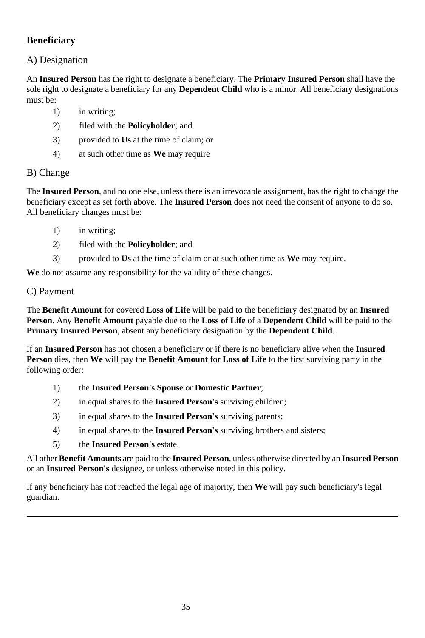## **Beneficiary**

## A) Designation

An **Insured Person** has the right to designate a beneficiary. The **Primary Insured Person** shall have the sole right to designate a beneficiary for any **Dependent Child** who is a minor. All beneficiary designations must be:

- 1) in writing;
- 2) filed with the **Policyholder**; and
- 3) provided to **Us** at the time of claim; or
- 4) at such other time as **We** may require

### B) Change

The **Insured Person**, and no one else, unless there is an irrevocable assignment, has the right to change the beneficiary except as set forth above. The **Insured Person** does not need the consent of anyone to do so. All beneficiary changes must be:

- 1) in writing;
- 2) filed with the **Policyholder**; and
- 3) provided to **Us** at the time of claim or at such other time as **We** may require.

**We** do not assume any responsibility for the validity of these changes.

#### C) Payment

The **Benefit Amount** for covered **Loss of Life** will be paid to the beneficiary designated by an **Insured Person**. Any **Benefit Amount** payable due to the **Loss of Life** of a **Dependent Child** will be paid to the **Primary Insured Person**, absent any beneficiary designation by the **Dependent Child**.

If an **Insured Person** has not chosen a beneficiary or if there is no beneficiary alive when the **Insured Person** dies, then **We** will pay the **Benefit Amount** for **Loss of Life** to the first surviving party in the following order:

- 1) the **Insured Person's Spouse** or **Domestic Partner**;
- 2) in equal shares to the **Insured Person's** surviving children;
- 3) in equal shares to the **Insured Person's** surviving parents;
- 4) in equal shares to the **Insured Person's** surviving brothers and sisters;
- 5) the **Insured Person's** estate.

All other **Benefit Amounts** are paid to the **Insured Person**, unless otherwise directed by an **Insured Person** or an **Insured Person's** designee, or unless otherwise noted in this policy.

If any beneficiary has not reached the legal age of majority, then **We** will pay such beneficiary's legal guardian.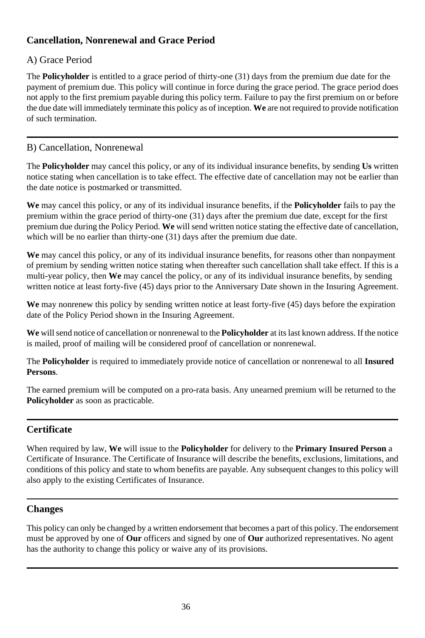## **Cancellation, Nonrenewal and Grace Period**

## A) Grace Period

The **Policyholder** is entitled to a grace period of thirty-one (31) days from the premium due date for the payment of premium due. This policy will continue in force during the grace period. The grace period does not apply to the first premium payable during this policy term. Failure to pay the first premium on or before the due date will immediately terminate this policy as of inception. **We** are not required to provide notification of such termination.

## B) Cancellation, Nonrenewal

The **Policyholder** may cancel this policy, or any of its individual insurance benefits, by sending **Us** written notice stating when cancellation is to take effect. The effective date of cancellation may not be earlier than the date notice is postmarked or transmitted.

**We** may cancel this policy, or any of its individual insurance benefits, if the **Policyholder** fails to pay the premium within the grace period of thirty-one (31) days after the premium due date, except for the first premium due during the Policy Period. **We** will send written notice stating the effective date of cancellation, which will be no earlier than thirty-one (31) days after the premium due date.

**We** may cancel this policy, or any of its individual insurance benefits, for reasons other than nonpayment of premium by sending written notice stating when thereafter such cancellation shall take effect. If this is a multi-year policy, then **We** may cancel the policy, or any of its individual insurance benefits, by sending written notice at least forty-five (45) days prior to the Anniversary Date shown in the Insuring Agreement.

**We** may nonrenew this policy by sending written notice at least forty-five (45) days before the expiration date of the Policy Period shown in the Insuring Agreement.

**We** will send notice of cancellation or nonrenewal to the **Policyholder** at its last known address. If the notice is mailed, proof of mailing will be considered proof of cancellation or nonrenewal.

The **Policyholder** is required to immediately provide notice of cancellation or nonrenewal to all **Insured Persons**.

The earned premium will be computed on a pro-rata basis. Any unearned premium will be returned to the **Policyholder** as soon as practicable.

## **Certificate**

When required by law, **We** will issue to the **Policyholder** for delivery to the **Primary Insured Person** a Certificate of Insurance. The Certificate of Insurance will describe the benefits, exclusions, limitations, and conditions of this policy and state to whom benefits are payable. Any subsequent changes to this policy will also apply to the existing Certificates of Insurance.

## **Changes**

This policy can only be changed by a written endorsement that becomes a part of this policy. The endorsement must be approved by one of **Our** officers and signed by one of **Our** authorized representatives. No agent has the authority to change this policy or waive any of its provisions.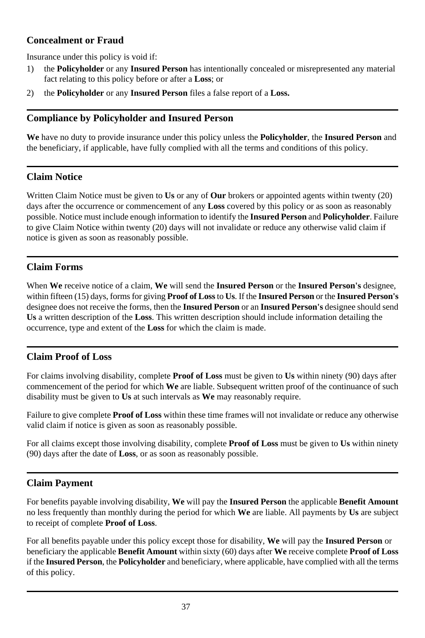## **Concealment or Fraud**

Insurance under this policy is void if:

- 1) the **Policyholder** or any **Insured Person** has intentionally concealed or misrepresented any material fact relating to this policy before or after a **Loss**; or
- 2) the **Policyholder** or any **Insured Person** files a false report of a **Loss.**

## **Compliance by Policyholder and Insured Person**

**We** have no duty to provide insurance under this policy unless the **Policyholder**, the **Insured Person** and the beneficiary, if applicable, have fully complied with all the terms and conditions of this policy.

## **Claim Notice**

Written Claim Notice must be given to **Us** or any of **Our** brokers or appointed agents within twenty (20) days after the occurrence or commencement of any **Loss** covered by this policy or as soon as reasonably possible. Notice must include enough information to identify the **Insured Person** and **Policyholder**. Failure to give Claim Notice within twenty (20) days will not invalidate or reduce any otherwise valid claim if notice is given as soon as reasonably possible.

## **Claim Forms**

When **We** receive notice of a claim, **We** will send the **Insured Person** or the **Insured Person's** designee, within fifteen (15) days, forms for giving **Proof of Loss** to **Us**. If the **Insured Person** or the **Insured Person's** designee does not receive the forms, then the **Insured Person** or an **Insured Person's** designee should send **Us** a written description of the **Loss**. This written description should include information detailing the occurrence, type and extent of the **Loss** for which the claim is made.

## **Claim Proof of Loss**

For claims involving disability, complete **Proof of Loss** must be given to **Us** within ninety (90) days after commencement of the period for which **We** are liable. Subsequent written proof of the continuance of such disability must be given to **Us** at such intervals as **We** may reasonably require.

Failure to give complete **Proof of Loss** within these time frames will not invalidate or reduce any otherwise valid claim if notice is given as soon as reasonably possible.

For all claims except those involving disability, complete **Proof of Loss** must be given to **Us** within ninety (90) days after the date of **Loss**, or as soon as reasonably possible.

## **Claim Payment**

For benefits payable involving disability, **We** will pay the **Insured Person** the applicable **Benefit Amount** no less frequently than monthly during the period for which **We** are liable. All payments by **Us** are subject to receipt of complete **Proof of Loss**.

For all benefits payable under this policy except those for disability, **We** will pay the **Insured Person** or beneficiary the applicable **Benefit Amount** within sixty (60) days after **We** receive complete **Proof of Loss** if the **Insured Person**, the **Policyholder** and beneficiary, where applicable, have complied with all the terms of this policy.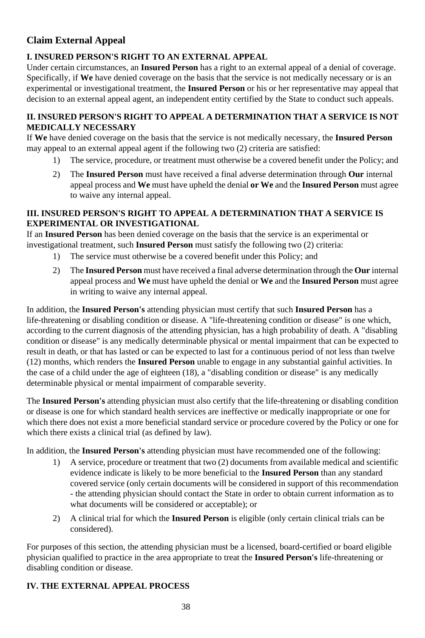## **Claim External Appeal**

### **I. INSURED PERSON'S RIGHT TO AN EXTERNAL APPEAL**

Under certain circumstances, an **Insured Person** has a right to an external appeal of a denial of coverage. Specifically, if **We** have denied coverage on the basis that the service is not medically necessary or is an experimental or investigational treatment, the **Insured Person** or his or her representative may appeal that decision to an external appeal agent, an independent entity certified by the State to conduct such appeals.

#### **II. INSURED PERSON'S RIGHT TO APPEAL A DETERMINATION THAT A SERVICE IS NOT MEDICALLY NECESSARY**

If **We** have denied coverage on the basis that the service is not medically necessary, the **Insured Person** may appeal to an external appeal agent if the following two (2) criteria are satisfied:

- 1) The service, procedure, or treatment must otherwise be a covered benefit under the Policy; and
- 2) The **Insured Person** must have received a final adverse determination through **Our** internal appeal process and **We** must have upheld the denial **or We** and the **Insured Person** must agree to waive any internal appeal.

#### **III. INSURED PERSON'S RIGHT TO APPEAL A DETERMINATION THAT A SERVICE IS EXPERIMENTAL OR INVESTIGATIONAL**

If an **Insured Person** has been denied coverage on the basis that the service is an experimental or investigational treatment, such **Insured Person** must satisfy the following two (2) criteria:

- 1) The service must otherwise be a covered benefit under this Policy; and
- 2) The **Insured Person** must have received a final adverse determination through the **Our** internal appeal process and **We** must have upheld the denial or **We** and the **Insured Person** must agree in writing to waive any internal appeal.

In addition, the **Insured Person's** attending physician must certify that such **Insured Person** has a life-threatening or disabling condition or disease. A "life-threatening condition or disease" is one which, according to the current diagnosis of the attending physician, has a high probability of death. A "disabling condition or disease" is any medically determinable physical or mental impairment that can be expected to result in death, or that has lasted or can be expected to last for a continuous period of not less than twelve (12) months, which renders the **Insured Person** unable to engage in any substantial gainful activities. In the case of a child under the age of eighteen (18), a "disabling condition or disease" is any medically determinable physical or mental impairment of comparable severity.

The **Insured Person's** attending physician must also certify that the life-threatening or disabling condition or disease is one for which standard health services are ineffective or medically inappropriate or one for which there does not exist a more beneficial standard service or procedure covered by the Policy or one for which there exists a clinical trial (as defined by law).

In addition, the **Insured Person's** attending physician must have recommended one of the following:

- 1) A service, procedure or treatment that two (2) documents from available medical and scientific evidence indicate is likely to be more beneficial to the **Insured Person** than any standard covered service (only certain documents will be considered in support of this recommendation - the attending physician should contact the State in order to obtain current information as to what documents will be considered or acceptable); or
- 2) A clinical trial for which the **Insured Person** is eligible (only certain clinical trials can be considered).

For purposes of this section, the attending physician must be a licensed, board-certified or board eligible physician qualified to practice in the area appropriate to treat the **Insured Person's** life-threatening or disabling condition or disease.

## **IV. THE EXTERNAL APPEAL PROCESS**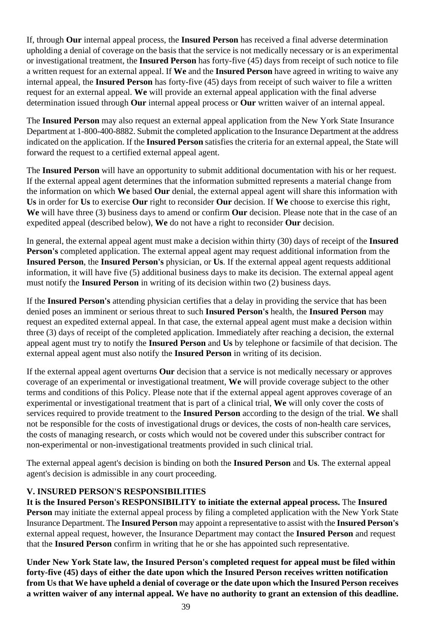If, through **Our** internal appeal process, the **Insured Person** has received a final adverse determination upholding a denial of coverage on the basis that the service is not medically necessary or is an experimental or investigational treatment, the **Insured Person** has forty-five (45) days from receipt of such notice to file a written request for an external appeal. If **We** and the **Insured Person** have agreed in writing to waive any internal appeal, the **Insured Person** has forty-five (45) days from receipt of such waiver to file a written request for an external appeal. **We** will provide an external appeal application with the final adverse determination issued through **Our** internal appeal process or **Our** written waiver of an internal appeal.

The **Insured Person** may also request an external appeal application from the New York State Insurance Department at 1-800-400-8882. Submit the completed application to the Insurance Department at the address indicated on the application. If the **Insured Person** satisfies the criteria for an external appeal, the State will forward the request to a certified external appeal agent.

The **Insured Person** will have an opportunity to submit additional documentation with his or her request. If the external appeal agent determines that the information submitted represents a material change from the information on which **We** based **Our** denial, the external appeal agent will share this information with **Us** in order for **Us** to exercise **Our** right to reconsider **Our** decision. If **We** choose to exercise this right, **We** will have three (3) business days to amend or confirm **Our** decision. Please note that in the case of an expedited appeal (described below), **We** do not have a right to reconsider **Our** decision.

In general, the external appeal agent must make a decision within thirty (30) days of receipt of the **Insured Person's** completed application. The external appeal agent may request additional information from the **Insured Person**, the **Insured Person's** physician, or **Us**. If the external appeal agent requests additional information, it will have five (5) additional business days to make its decision. The external appeal agent must notify the **Insured Person** in writing of its decision within two (2) business days.

If the **Insured Person's** attending physician certifies that a delay in providing the service that has been denied poses an imminent or serious threat to such **Insured Person's** health, the **Insured Person** may request an expedited external appeal. In that case, the external appeal agent must make a decision within three (3) days of receipt of the completed application. Immediately after reaching a decision, the external appeal agent must try to notify the **Insured Person** and **Us** by telephone or facsimile of that decision. The external appeal agent must also notify the **Insured Person** in writing of its decision.

If the external appeal agent overturns **Our** decision that a service is not medically necessary or approves coverage of an experimental or investigational treatment, **We** will provide coverage subject to the other terms and conditions of this Policy. Please note that if the external appeal agent approves coverage of an experimental or investigational treatment that is part of a clinical trial, **We** will only cover the costs of services required to provide treatment to the **Insured Person** according to the design of the trial. **We** shall not be responsible for the costs of investigational drugs or devices, the costs of non-health care services, the costs of managing research, or costs which would not be covered under this subscriber contract for non-experimental or non-investigational treatments provided in such clinical trial.

The external appeal agent's decision is binding on both the **Insured Person** and **Us**. The external appeal agent's decision is admissible in any court proceeding.

#### **V. INSURED PERSON'S RESPONSIBILITIES**

**It is the Insured Person's RESPONSIBILITY to initiate the external appeal process.** The **Insured Person** may initiate the external appeal process by filing a completed application with the New York State Insurance Department. The **Insured Person** may appoint a representative to assist with the **Insured Person's** external appeal request, however, the Insurance Department may contact the **Insured Person** and request that the **Insured Person** confirm in writing that he or she has appointed such representative.

**Under New York State law, the Insured Person's completed request for appeal must be filed within forty-five (45) days of either the date upon which the Insured Person receives written notification from Us that We have upheld a denial of coverage or the date upon which the Insured Person receives a written waiver of any internal appeal. We have no authority to grant an extension of this deadline.**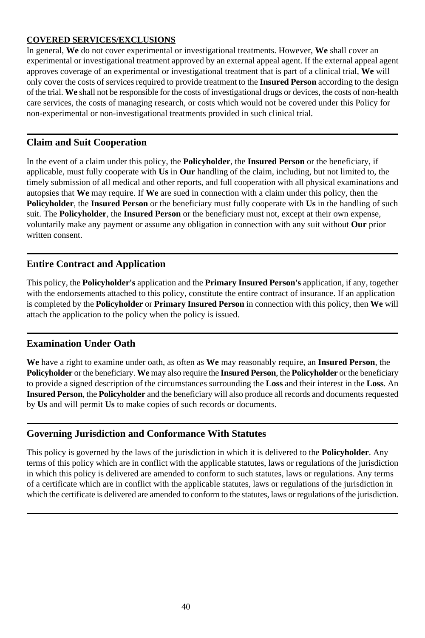#### **COVERED SERVICES/EXCLUSIONS**

In general, **We** do not cover experimental or investigational treatments. However, **We** shall cover an experimental or investigational treatment approved by an external appeal agent. If the external appeal agent approves coverage of an experimental or investigational treatment that is part of a clinical trial, **We** will only cover the costs of services required to provide treatment to the **Insured Person** according to the design of the trial. **We** shall not be responsible for the costs of investigational drugs or devices, the costs of non-health care services, the costs of managing research, or costs which would not be covered under this Policy for non-experimental or non-investigational treatments provided in such clinical trial.

#### **Claim and Suit Cooperation**

In the event of a claim under this policy, the **Policyholder**, the **Insured Person** or the beneficiary, if applicable, must fully cooperate with **Us** in **Our** handling of the claim, including, but not limited to, the timely submission of all medical and other reports, and full cooperation with all physical examinations and autopsies that **We** may require. If **We** are sued in connection with a claim under this policy, then the **Policyholder**, the **Insured Person** or the beneficiary must fully cooperate with **Us** in the handling of such suit. The **Policyholder**, the **Insured Person** or the beneficiary must not, except at their own expense, voluntarily make any payment or assume any obligation in connection with any suit without **Our** prior written consent.

### **Entire Contract and Application**

This policy, the **Policyholder's** application and the **Primary Insured Person's** application, if any, together with the endorsements attached to this policy, constitute the entire contract of insurance. If an application is completed by the **Policyholder** or **Primary Insured Person** in connection with this policy, then **We** will attach the application to the policy when the policy is issued.

#### **Examination Under Oath**

**We** have a right to examine under oath, as often as **We** may reasonably require, an **Insured Person**, the **Policyholder** or the beneficiary. **We** may also require the **Insured Person**, the **Policyholder** or the beneficiary to provide a signed description of the circumstances surrounding the **Loss** and their interest in the **Loss**. An **Insured Person**, the **Policyholder** and the beneficiary will also produce all records and documents requested by **Us** and will permit **Us** to make copies of such records or documents.

#### **Governing Jurisdiction and Conformance With Statutes**

This policy is governed by the laws of the jurisdiction in which it is delivered to the **Policyholder**. Any terms of this policy which are in conflict with the applicable statutes, laws or regulations of the jurisdiction in which this policy is delivered are amended to conform to such statutes, laws or regulations. Any terms of a certificate which are in conflict with the applicable statutes, laws or regulations of the jurisdiction in which the certificate is delivered are amended to conform to the statutes, laws or regulations of the jurisdiction.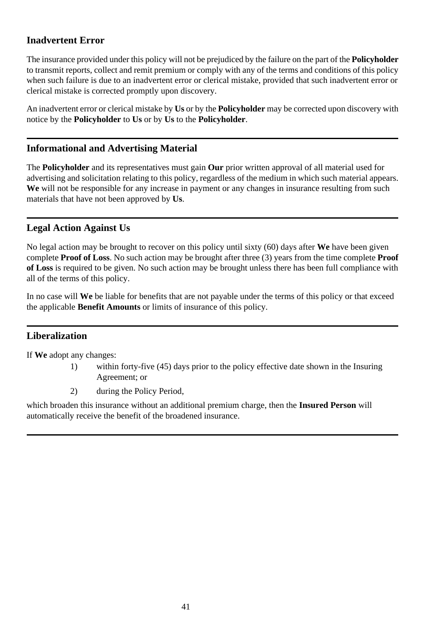## **Inadvertent Error**

The insurance provided under this policy will not be prejudiced by the failure on the part of the **Policyholder** to transmit reports, collect and remit premium or comply with any of the terms and conditions of this policy when such failure is due to an inadvertent error or clerical mistake, provided that such inadvertent error or clerical mistake is corrected promptly upon discovery.

An inadvertent error or clerical mistake by **Us** or by the **Policyholder** may be corrected upon discovery with notice by the **Policyholder** to **Us** or by **Us** to the **Policyholder**.

## **Informational and Advertising Material**

The **Policyholder** and its representatives must gain **Our** prior written approval of all material used for advertising and solicitation relating to this policy, regardless of the medium in which such material appears. **We** will not be responsible for any increase in payment or any changes in insurance resulting from such materials that have not been approved by **Us**.

## **Legal Action Against Us**

No legal action may be brought to recover on this policy until sixty (60) days after **We** have been given complete **Proof of Loss**. No such action may be brought after three (3) years from the time complete **Proof of Loss** is required to be given. No such action may be brought unless there has been full compliance with all of the terms of this policy.

In no case will **We** be liable for benefits that are not payable under the terms of this policy or that exceed the applicable **Benefit Amounts** or limits of insurance of this policy.

## **Liberalization**

If **We** adopt any changes:

- 1) within forty-five (45) days prior to the policy effective date shown in the Insuring Agreement; or
- 2) during the Policy Period,

which broaden this insurance without an additional premium charge, then the **Insured Person** will automatically receive the benefit of the broadened insurance.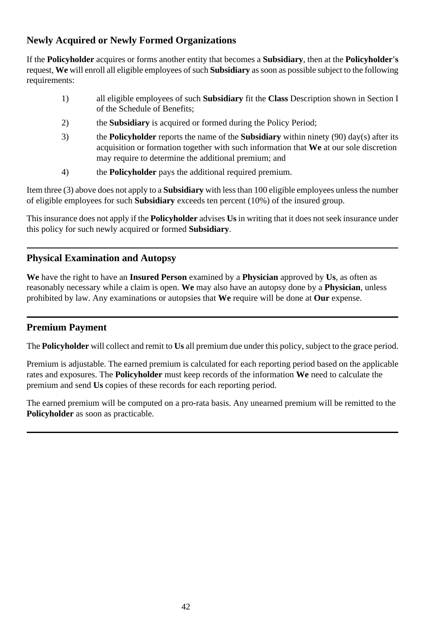## **Newly Acquired or Newly Formed Organizations**

If the **Policyholder** acquires or forms another entity that becomes a **Subsidiary**, then at the **Policyholder's** request, **We** will enroll all eligible employees of such **Subsidiary** as soon as possible subject to the following requirements:

- 1) all eligible employees of such **Subsidiary** fit the **Class** Description shown in Section I of the Schedule of Benefits;
- 2) the **Subsidiary** is acquired or formed during the Policy Period;
- 3) the **Policyholder** reports the name of the **Subsidiary** within ninety (90) day(s) after its acquisition or formation together with such information that **We** at our sole discretion may require to determine the additional premium; and
- 4) the **Policyholder** pays the additional required premium.

Item three (3) above does not apply to a **Subsidiary** with less than 100 eligible employees unless the number of eligible employees for such **Subsidiary** exceeds ten percent (10%) of the insured group.

This insurance does not apply if the **Policyholder** advises **Us** in writing that it does not seek insurance under this policy for such newly acquired or formed **Subsidiary**.

## **Physical Examination and Autopsy**

**We** have the right to have an **Insured Person** examined by a **Physician** approved by **Us**, as often as reasonably necessary while a claim is open. **We** may also have an autopsy done by a **Physician**, unless prohibited by law. Any examinations or autopsies that **We** require will be done at **Our** expense.

## **Premium Payment**

The **Policyholder** will collect and remit to **Us** all premium due under this policy, subject to the grace period.

Premium is adjustable. The earned premium is calculated for each reporting period based on the applicable rates and exposures. The **Policyholder** must keep records of the information **We** need to calculate the premium and send **Us** copies of these records for each reporting period.

The earned premium will be computed on a pro-rata basis. Any unearned premium will be remitted to the **Policyholder** as soon as practicable.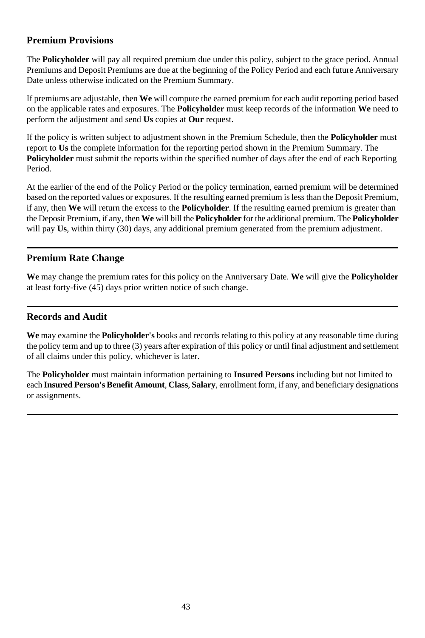## **Premium Provisions**

The **Policyholder** will pay all required premium due under this policy, subject to the grace period. Annual Premiums and Deposit Premiums are due at the beginning of the Policy Period and each future Anniversary Date unless otherwise indicated on the Premium Summary.

If premiums are adjustable, then **We** will compute the earned premium for each audit reporting period based on the applicable rates and exposures. The **Policyholder** must keep records of the information **We** need to perform the adjustment and send **Us** copies at **Our** request.

If the policy is written subject to adjustment shown in the Premium Schedule, then the **Policyholder** must report to **Us** the complete information for the reporting period shown in the Premium Summary. The **Policyholder** must submit the reports within the specified number of days after the end of each Reporting Period.

At the earlier of the end of the Policy Period or the policy termination, earned premium will be determined based on the reported values or exposures. If the resulting earned premium is less than the Deposit Premium, if any, then **We** will return the excess to the **Policyholder**. If the resulting earned premium is greater than the Deposit Premium, if any, then **We** will bill the **Policyholder** for the additional premium. The **Policyholder** will pay **Us**, within thirty (30) days, any additional premium generated from the premium adjustment.

## **Premium Rate Change**

**We** may change the premium rates for this policy on the Anniversary Date. **We** will give the **Policyholder** at least forty-five (45) days prior written notice of such change.

### **Records and Audit**

**We** may examine the **Policyholder's** books and records relating to this policy at any reasonable time during the policy term and up to three (3) years after expiration of this policy or until final adjustment and settlement of all claims under this policy, whichever is later.

The **Policyholder** must maintain information pertaining to **Insured Persons** including but not limited to each **Insured Person's Benefit Amount**, **Class**, **Salary**, enrollment form, if any, and beneficiary designations or assignments.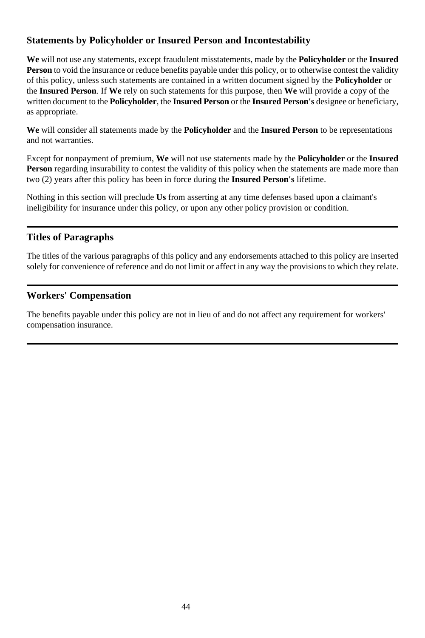## **Statements by Policyholder or Insured Person and Incontestability**

**We** will not use any statements, except fraudulent misstatements, made by the **Policyholder** or the **Insured Person** to void the insurance or reduce benefits payable under this policy, or to otherwise contest the validity of this policy, unless such statements are contained in a written document signed by the **Policyholder** or the **Insured Person**. If **We** rely on such statements for this purpose, then **We** will provide a copy of the written document to the **Policyholder**, the **Insured Person** or the **Insured Person's** designee or beneficiary, as appropriate.

**We** will consider all statements made by the **Policyholder** and the **Insured Person** to be representations and not warranties.

Except for nonpayment of premium, **We** will not use statements made by the **Policyholder** or the **Insured Person** regarding insurability to contest the validity of this policy when the statements are made more than two (2) years after this policy has been in force during the **Insured Person's** lifetime.

Nothing in this section will preclude **Us** from asserting at any time defenses based upon a claimant's ineligibility for insurance under this policy, or upon any other policy provision or condition.

### **Titles of Paragraphs**

The titles of the various paragraphs of this policy and any endorsements attached to this policy are inserted solely for convenience of reference and do not limit or affect in any way the provisions to which they relate.

## **Workers' Compensation**

The benefits payable under this policy are not in lieu of and do not affect any requirement for workers' compensation insurance.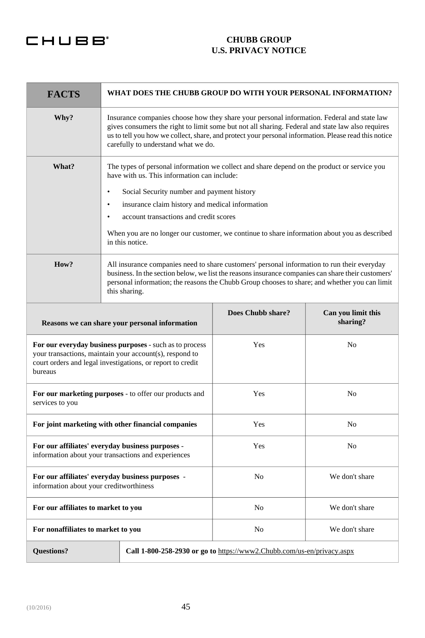## CHUBB<sup>®</sup>

#### **CHUBB GROUP U.S. PRIVACY NOTICE**

| <b>FACTS</b>                                                                                                                                                                                | WHAT DOES THE CHUBB GROUP DO WITH YOUR PERSONAL INFORMATION?                                                                                                                                                                                                                                                                                  |                |                |
|---------------------------------------------------------------------------------------------------------------------------------------------------------------------------------------------|-----------------------------------------------------------------------------------------------------------------------------------------------------------------------------------------------------------------------------------------------------------------------------------------------------------------------------------------------|----------------|----------------|
| Why?                                                                                                                                                                                        | Insurance companies choose how they share your personal information. Federal and state law<br>gives consumers the right to limit some but not all sharing. Federal and state law also requires<br>us to tell you how we collect, share, and protect your personal information. Please read this notice<br>carefully to understand what we do. |                |                |
| What?                                                                                                                                                                                       | The types of personal information we collect and share depend on the product or service you<br>have with us. This information can include:                                                                                                                                                                                                    |                |                |
|                                                                                                                                                                                             | Social Security number and payment history<br>٠                                                                                                                                                                                                                                                                                               |                |                |
|                                                                                                                                                                                             | insurance claim history and medical information<br>$\bullet$                                                                                                                                                                                                                                                                                  |                |                |
|                                                                                                                                                                                             | account transactions and credit scores<br>$\bullet$                                                                                                                                                                                                                                                                                           |                |                |
|                                                                                                                                                                                             | When you are no longer our customer, we continue to share information about you as described<br>in this notice.                                                                                                                                                                                                                               |                |                |
| How?                                                                                                                                                                                        | All insurance companies need to share customers' personal information to run their everyday<br>business. In the section below, we list the reasons insurance companies can share their customers'<br>personal information; the reasons the Chubb Group chooses to share; and whether you can limit<br>this sharing.                           |                |                |
| Does Chubb share?<br>Can you limit this<br>sharing?<br>Reasons we can share your personal information                                                                                       |                                                                                                                                                                                                                                                                                                                                               |                |                |
| For our everyday business purposes - such as to process<br>your transactions, maintain your account(s), respond to<br>court orders and legal investigations, or report to credit<br>bureaus |                                                                                                                                                                                                                                                                                                                                               | Yes            | No             |
| Yes<br>No<br>For our marketing purposes - to offer our products and<br>services to you                                                                                                      |                                                                                                                                                                                                                                                                                                                                               |                |                |
| For joint marketing with other financial companies<br>Yes<br>No                                                                                                                             |                                                                                                                                                                                                                                                                                                                                               |                |                |
| For our affiliates' everyday business purposes -<br>information about your transactions and experiences                                                                                     |                                                                                                                                                                                                                                                                                                                                               | Yes            | No             |
| No<br>For our affiliates' everyday business purposes -<br>information about your creditworthiness                                                                                           |                                                                                                                                                                                                                                                                                                                                               | We don't share |                |
| For our affiliates to market to you                                                                                                                                                         |                                                                                                                                                                                                                                                                                                                                               | No             | We don't share |
| For nonaffiliates to market to you                                                                                                                                                          |                                                                                                                                                                                                                                                                                                                                               | No             | We don't share |
| <b>Ouestions?</b><br>Call 1-800-258-2930 or go to https://www2.Chubb.com/us-en/privacy.aspx                                                                                                 |                                                                                                                                                                                                                                                                                                                                               |                |                |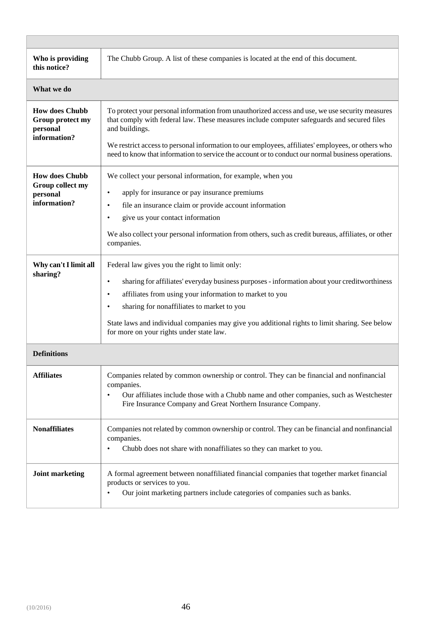| Who is providing<br>this notice?                                      | The Chubb Group. A list of these companies is located at the end of this document.                                                                                                                                                                                                                                                                                                                                           |
|-----------------------------------------------------------------------|------------------------------------------------------------------------------------------------------------------------------------------------------------------------------------------------------------------------------------------------------------------------------------------------------------------------------------------------------------------------------------------------------------------------------|
| What we do                                                            |                                                                                                                                                                                                                                                                                                                                                                                                                              |
| <b>How does Chubb</b><br>Group protect my<br>personal<br>information? | To protect your personal information from unauthorized access and use, we use security measures<br>that comply with federal law. These measures include computer safeguards and secured files<br>and buildings.<br>We restrict access to personal information to our employees, affiliates' employees, or others who<br>need to know that information to service the account or to conduct our normal business operations.   |
| <b>How does Chubb</b><br>Group collect my<br>personal<br>information? | We collect your personal information, for example, when you<br>$\bullet$<br>apply for insurance or pay insurance premiums<br>file an insurance claim or provide account information<br>$\bullet$<br>give us your contact information<br>We also collect your personal information from others, such as credit bureaus, affiliates, or other<br>companies.                                                                    |
| Why can't I limit all<br>sharing?                                     | Federal law gives you the right to limit only:<br>sharing for affiliates' everyday business purposes - information about your creditworthiness<br>$\bullet$<br>۰<br>affiliates from using your information to market to you<br>sharing for nonaffiliates to market to you<br>۰<br>State laws and individual companies may give you additional rights to limit sharing. See below<br>for more on your rights under state law. |
| <b>Definitions</b>                                                    |                                                                                                                                                                                                                                                                                                                                                                                                                              |
| <b>Affiliates</b>                                                     | Companies related by common ownership or control. They can be financial and nonfinancial<br>companies.<br>$\bullet$<br>Our affiliates include those with a Chubb name and other companies, such as Westchester<br>Fire Insurance Company and Great Northern Insurance Company.                                                                                                                                               |
| <b>Nonaffiliates</b>                                                  | Companies not related by common ownership or control. They can be financial and nonfinancial<br>companies.<br>$\bullet$<br>Chubb does not share with nonaffiliates so they can market to you.                                                                                                                                                                                                                                |
| <b>Joint marketing</b>                                                | A formal agreement between nonaffiliated financial companies that together market financial<br>products or services to you.<br>Our joint marketing partners include categories of companies such as banks.                                                                                                                                                                                                                   |

 $\overline{a}$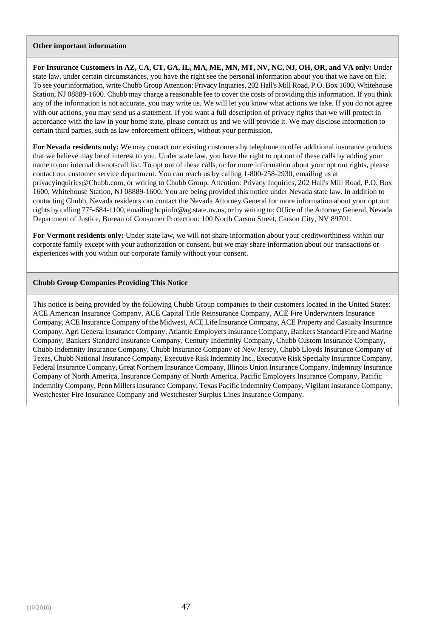#### **Other important information**

**For Insurance Customers in AZ, CA, CT, GA, IL, MA, ME, MN, MT, NV, NC, NJ, OH, OR, and VA only:** Under state law, under certain circumstances, you have the right see the personal information about you that we have on file. To see your information, write Chubb Group Attention: Privacy Inquiries, 202 Hall's Mill Road, P.O. Box 1600, Whitehouse Station, NJ 08889-1600. Chubb may charge a reasonable fee to cover the costs of providing this information. If you think any of the information is not accurate, you may write us. We will let you know what actions we take. If you do not agree with our actions, you may send us a statement. If you want a full description of privacy rights that we will protect in accordance with the law in your home state, please contact us and we will provide it. We may disclose information to certain third parties, such as law enforcement officers, without your permission.

**For Nevada residents only:** We may contact our existing customers by telephone to offer additional insurance products that we believe may be of interest to you. Under state law, you have the right to opt out of these calls by adding your name to our internal do-not-call list. To opt out of these calls, or for more information about your opt out rights, please contact our customer service department. You can reach us by calling 1-800-258-2930, emailing us at privacyinquiries@Chubb.com, or writing to Chubb Group, Attention: Privacy Inquiries, 202 Hall's Mill Road, P.O. Box 1600, Whitehouse Station, NJ 08889-1600. You are being provided this notice under Nevada state law. In addition to contacting Chubb, Nevada residents can contact the Nevada Attorney General for more information about your opt out rights by calling 775-684-1100, emailing bcpinfo@ag.state.nv.us, or by writing to: Office of the Attorney General, Nevada Department of Justice, Bureau of Consumer Protection: 100 North Carson Street, Carson City, NV 89701.

**For Vermont residents only:** Under state law, we will not share information about your creditworthiness within our corporate family except with your authorization or consent, but we may share information about our transactions or experiences with you within our corporate family without your consent.

#### **Chubb Group Companies Providing This Notice**

This notice is being provided by the following Chubb Group companies to their customers located in the United States: ACE American Insurance Company, ACE Capital Title Reinsurance Company, ACE Fire Underwriters Insurance Company, ACE Insurance Company of the Midwest, ACE Life Insurance Company, ACE Property and Casualty Insurance Company, Agri General Insurance Company, Atlantic Employers Insurance Company, Bankers Standard Fire and Marine Company, Bankers Standard Insurance Company, Century Indemnity Company, Chubb Custom Insurance Company, Chubb Indemnity Insurance Company, Chubb Insurance Company of New Jersey, Chubb Lloyds Insurance Company of Texas, Chubb National Insurance Company, Executive Risk Indemnity Inc., Executive Risk Specialty Insurance Company, Federal Insurance Company, Great Northern Insurance Company, Illinois Union Insurance Company, Indemnity Insurance Company of North America, Insurance Company of North America, Pacific Employers Insurance Company, Pacific Indemnity Company, Penn Millers Insurance Company, Texas Pacific Indemnity Company, Vigilant Insurance Company, Westchester Fire Insurance Company and Westchester Surplus Lines Insurance Company.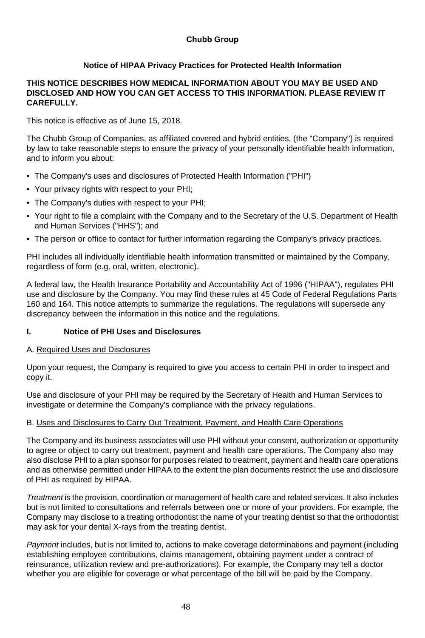#### **Chubb Group**

#### **Notice of HIPAA Privacy Practices for Protected Health Information**

#### **THIS NOTICE DESCRIBES HOW MEDICAL INFORMATION ABOUT YOU MAY BE USED AND DISCLOSED AND HOW YOU CAN GET ACCESS TO THIS INFORMATION. PLEASE REVIEW IT CAREFULLY.**

This notice is effective as of June 15, 2018.

The Chubb Group of Companies, as affiliated covered and hybrid entities, (the "Company") is required by law to take reasonable steps to ensure the privacy of your personally identifiable health information, and to inform you about:

- The Company's uses and disclosures of Protected Health Information ("PHI")
- Your privacy rights with respect to your PHI;
- The Company's duties with respect to your PHI;
- Your right to file a complaint with the Company and to the Secretary of the U.S. Department of Health and Human Services ("HHS"); and
- The person or office to contact for further information regarding the Company's privacy practices.

PHI includes all individually identifiable health information transmitted or maintained by the Company, regardless of form (e.g. oral, written, electronic).

A federal law, the Health Insurance Portability and Accountability Act of 1996 ("HIPAA"), regulates PHI use and disclosure by the Company. You may find these rules at 45 Code of Federal Regulations Parts 160 and 164. This notice attempts to summarize the regulations. The regulations will supersede any discrepancy between the information in this notice and the regulations.

#### **I. Notice of PHI Uses and Disclosures**

#### A. Required Uses and Disclosures

Upon your request, the Company is required to give you access to certain PHI in order to inspect and copy it.

Use and disclosure of your PHI may be required by the Secretary of Health and Human Services to investigate or determine the Company's compliance with the privacy regulations.

#### B. Uses and Disclosures to Carry Out Treatment, Payment, and Health Care Operations

The Company and its business associates will use PHI without your consent, authorization or opportunity to agree or object to carry out treatment, payment and health care operations. The Company also may also disclose PHI to a plan sponsor for purposes related to treatment, payment and health care operations and as otherwise permitted under HIPAA to the extent the plan documents restrict the use and disclosure of PHI as required by HIPAA.

*Treatment* is the provision, coordination or management of health care and related services. It also includes but is not limited to consultations and referrals between one or more of your providers. For example, the Company may disclose to a treating orthodontist the name of your treating dentist so that the orthodontist may ask for your dental X-rays from the treating dentist.

*Payment* includes, but is not limited to, actions to make coverage determinations and payment (including establishing employee contributions, claims management, obtaining payment under a contract of reinsurance, utilization review and pre-authorizations). For example, the Company may tell a doctor whether you are eligible for coverage or what percentage of the bill will be paid by the Company.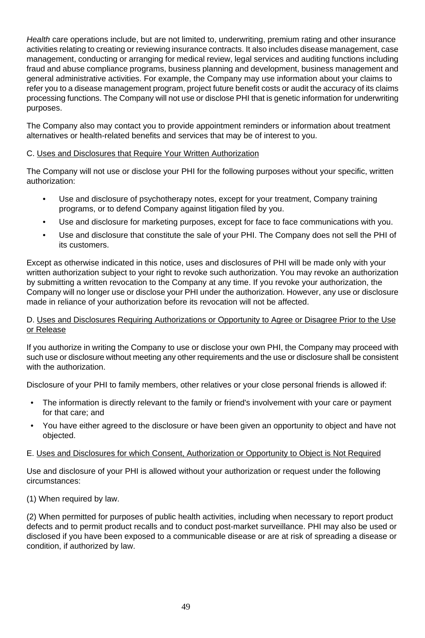*Health* care operations include, but are not limited to, underwriting, premium rating and other insurance activities relating to creating or reviewing insurance contracts. It also includes disease management, case management, conducting or arranging for medical review, legal services and auditing functions including fraud and abuse compliance programs, business planning and development, business management and general administrative activities. For example, the Company may use information about your claims to refer you to a disease management program, project future benefit costs or audit the accuracy of its claims processing functions. The Company will not use or disclose PHI that is genetic information for underwriting purposes.

The Company also may contact you to provide appointment reminders or information about treatment alternatives or health-related benefits and services that may be of interest to you.

#### C. Uses and Disclosures that Require Your Written Authorization

The Company will not use or disclose your PHI for the following purposes without your specific, written authorization:

- Use and disclosure of psychotherapy notes, except for your treatment, Company training programs, or to defend Company against litigation filed by you.
- Use and disclosure for marketing purposes, except for face to face communications with you.
- Use and disclosure that constitute the sale of your PHI. The Company does not sell the PHI of its customers.

Except as otherwise indicated in this notice, uses and disclosures of PHI will be made only with your written authorization subject to your right to revoke such authorization. You may revoke an authorization by submitting a written revocation to the Company at any time. If you revoke your authorization, the Company will no longer use or disclose your PHI under the authorization. However, any use or disclosure made in reliance of your authorization before its revocation will not be affected.

#### D. Uses and Disclosures Requiring Authorizations or Opportunity to Agree or Disagree Prior to the Use or Release

If you authorize in writing the Company to use or disclose your own PHI, the Company may proceed with such use or disclosure without meeting any other requirements and the use or disclosure shall be consistent with the authorization.

Disclosure of your PHI to family members, other relatives or your close personal friends is allowed if:

- The information is directly relevant to the family or friend's involvement with your care or payment for that care; and
- You have either agreed to the disclosure or have been given an opportunity to object and have not objected.

#### E. Uses and Disclosures for which Consent, Authorization or Opportunity to Object is Not Required

Use and disclosure of your PHI is allowed without your authorization or request under the following circumstances:

(1) When required by law.

(2) When permitted for purposes of public health activities, including when necessary to report product defects and to permit product recalls and to conduct post-market surveillance. PHI may also be used or disclosed if you have been exposed to a communicable disease or are at risk of spreading a disease or condition, if authorized by law.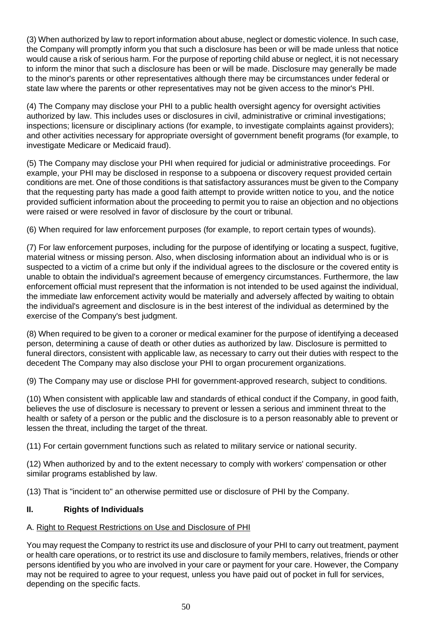(3) When authorized by law to report information about abuse, neglect or domestic violence. In such case, the Company will promptly inform you that such a disclosure has been or will be made unless that notice would cause a risk of serious harm. For the purpose of reporting child abuse or neglect, it is not necessary to inform the minor that such a disclosure has been or will be made. Disclosure may generally be made to the minor's parents or other representatives although there may be circumstances under federal or state law where the parents or other representatives may not be given access to the minor's PHI.

(4) The Company may disclose your PHI to a public health oversight agency for oversight activities authorized by law. This includes uses or disclosures in civil, administrative or criminal investigations; inspections; licensure or disciplinary actions (for example, to investigate complaints against providers); and other activities necessary for appropriate oversight of government benefit programs (for example, to investigate Medicare or Medicaid fraud).

(5) The Company may disclose your PHI when required for judicial or administrative proceedings. For example, your PHI may be disclosed in response to a subpoena or discovery request provided certain conditions are met. One of those conditions is that satisfactory assurances must be given to the Company that the requesting party has made a good faith attempt to provide written notice to you, and the notice provided sufficient information about the proceeding to permit you to raise an objection and no objections were raised or were resolved in favor of disclosure by the court or tribunal.

(6) When required for law enforcement purposes (for example, to report certain types of wounds).

(7) For law enforcement purposes, including for the purpose of identifying or locating a suspect, fugitive, material witness or missing person. Also, when disclosing information about an individual who is or is suspected to a victim of a crime but only if the individual agrees to the disclosure or the covered entity is unable to obtain the individual's agreement because of emergency circumstances. Furthermore, the law enforcement official must represent that the information is not intended to be used against the individual, the immediate law enforcement activity would be materially and adversely affected by waiting to obtain the individual's agreement and disclosure is in the best interest of the individual as determined by the exercise of the Company's best judgment.

(8) When required to be given to a coroner or medical examiner for the purpose of identifying a deceased person, determining a cause of death or other duties as authorized by law. Disclosure is permitted to funeral directors, consistent with applicable law, as necessary to carry out their duties with respect to the decedent The Company may also disclose your PHI to organ procurement organizations.

(9) The Company may use or disclose PHI for government-approved research, subject to conditions.

(10) When consistent with applicable law and standards of ethical conduct if the Company, in good faith, believes the use of disclosure is necessary to prevent or lessen a serious and imminent threat to the health or safety of a person or the public and the disclosure is to a person reasonably able to prevent or lessen the threat, including the target of the threat.

(11) For certain government functions such as related to military service or national security.

(12) When authorized by and to the extent necessary to comply with workers' compensation or other similar programs established by law.

(13) That is "incident to" an otherwise permitted use or disclosure of PHI by the Company.

#### **II. Rights of Individuals**

## A. Right to Request Restrictions on Use and Disclosure of PHI

You may request the Company to restrict its use and disclosure of your PHI to carry out treatment, payment or health care operations, or to restrict its use and disclosure to family members, relatives, friends or other persons identified by you who are involved in your care or payment for your care. However, the Company may not be required to agree to your request, unless you have paid out of pocket in full for services, depending on the specific facts.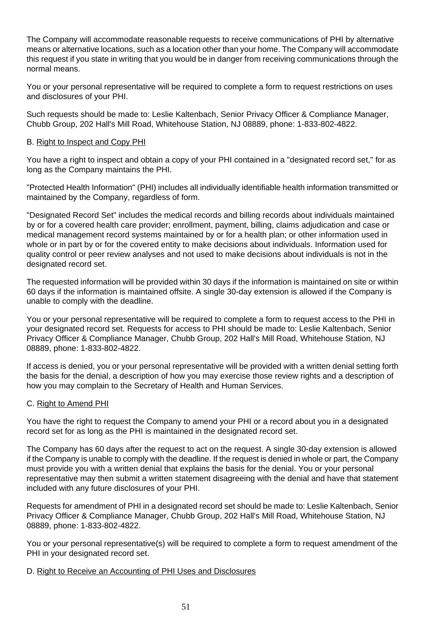The Company will accommodate reasonable requests to receive communications of PHI by alternative means or alternative locations, such as a location other than your home. The Company will accommodate this request if you state in writing that you would be in danger from receiving communications through the normal means.

You or your personal representative will be required to complete a form to request restrictions on uses and disclosures of your PHI.

Such requests should be made to: Leslie Kaltenbach, Senior Privacy Officer & Compliance Manager, Chubb Group, 202 Hall's Mill Road, Whitehouse Station, NJ 08889, phone: 1-833-802-4822.

#### B. Right to Inspect and Copy PHI

You have a right to inspect and obtain a copy of your PHI contained in a "designated record set," for as long as the Company maintains the PHI.

"Protected Health Information" (PHI) includes all individually identifiable health information transmitted or maintained by the Company, regardless of form.

"Designated Record Set" includes the medical records and billing records about individuals maintained by or for a covered health care provider; enrollment, payment, billing, claims adjudication and case or medical management record systems maintained by or for a health plan; or other information used in whole or in part by or for the covered entity to make decisions about individuals. Information used for quality control or peer review analyses and not used to make decisions about individuals is not in the designated record set.

The requested information will be provided within 30 days if the information is maintained on site or within 60 days if the information is maintained offsite. A single 30-day extension is allowed if the Company is unable to comply with the deadline.

You or your personal representative will be required to complete a form to request access to the PHI in your designated record set. Requests for access to PHI should be made to: Leslie Kaltenbach, Senior Privacy Officer & Compliance Manager, Chubb Group, 202 Hall's Mill Road, Whitehouse Station, NJ 08889, phone: 1-833-802-4822.

If access is denied, you or your personal representative will be provided with a written denial setting forth the basis for the denial, a description of how you may exercise those review rights and a description of how you may complain to the Secretary of Health and Human Services.

#### C. Right to Amend PHI

You have the right to request the Company to amend your PHI or a record about you in a designated record set for as long as the PHI is maintained in the designated record set.

The Company has 60 days after the request to act on the request. A single 30-day extension is allowed if the Company is unable to comply with the deadline. If the request is denied in whole or part, the Company must provide you with a written denial that explains the basis for the denial. You or your personal representative may then submit a written statement disagreeing with the denial and have that statement included with any future disclosures of your PHI.

Requests for amendment of PHI in a designated record set should be made to: Leslie Kaltenbach, Senior Privacy Officer & Compliance Manager, Chubb Group, 202 Hall's Mill Road, Whitehouse Station, NJ 08889, phone: 1-833-802-4822.

You or your personal representative(s) will be required to complete a form to request amendment of the PHI in your designated record set.

#### D. Right to Receive an Accounting of PHI Uses and Disclosures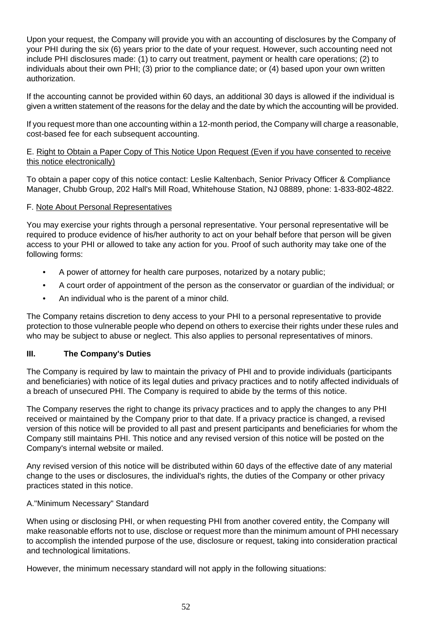Upon your request, the Company will provide you with an accounting of disclosures by the Company of your PHI during the six (6) years prior to the date of your request. However, such accounting need not include PHI disclosures made: (1) to carry out treatment, payment or health care operations; (2) to individuals about their own PHI; (3) prior to the compliance date; or (4) based upon your own written authorization.

If the accounting cannot be provided within 60 days, an additional 30 days is allowed if the individual is given a written statement of the reasons for the delay and the date by which the accounting will be provided.

If you request more than one accounting within a 12-month period, the Company will charge a reasonable, cost-based fee for each subsequent accounting.

#### E. Right to Obtain a Paper Copy of This Notice Upon Request (Even if you have consented to receive this notice electronically)

To obtain a paper copy of this notice contact: Leslie Kaltenbach, Senior Privacy Officer & Compliance Manager, Chubb Group, 202 Hall's Mill Road, Whitehouse Station, NJ 08889, phone: 1-833-802-4822.

#### F. Note About Personal Representatives

You may exercise your rights through a personal representative. Your personal representative will be required to produce evidence of his/her authority to act on your behalf before that person will be given access to your PHI or allowed to take any action for you. Proof of such authority may take one of the following forms:

- A power of attorney for health care purposes, notarized by a notary public;
- A court order of appointment of the person as the conservator or guardian of the individual; or
- An individual who is the parent of a minor child.

The Company retains discretion to deny access to your PHI to a personal representative to provide protection to those vulnerable people who depend on others to exercise their rights under these rules and who may be subject to abuse or neglect. This also applies to personal representatives of minors.

#### **III. The Company's Duties**

The Company is required by law to maintain the privacy of PHI and to provide individuals (participants and beneficiaries) with notice of its legal duties and privacy practices and to notify affected individuals of a breach of unsecured PHI. The Company is required to abide by the terms of this notice.

The Company reserves the right to change its privacy practices and to apply the changes to any PHI received or maintained by the Company prior to that date. If a privacy practice is changed, a revised version of this notice will be provided to all past and present participants and beneficiaries for whom the Company still maintains PHI. This notice and any revised version of this notice will be posted on the Company's internal website or mailed.

Any revised version of this notice will be distributed within 60 days of the effective date of any material change to the uses or disclosures, the individual's rights, the duties of the Company or other privacy practices stated in this notice.

#### A."Minimum Necessary" Standard

When using or disclosing PHI, or when requesting PHI from another covered entity, the Company will make reasonable efforts not to use, disclose or request more than the minimum amount of PHI necessary to accomplish the intended purpose of the use, disclosure or request, taking into consideration practical and technological limitations.

However, the minimum necessary standard will not apply in the following situations: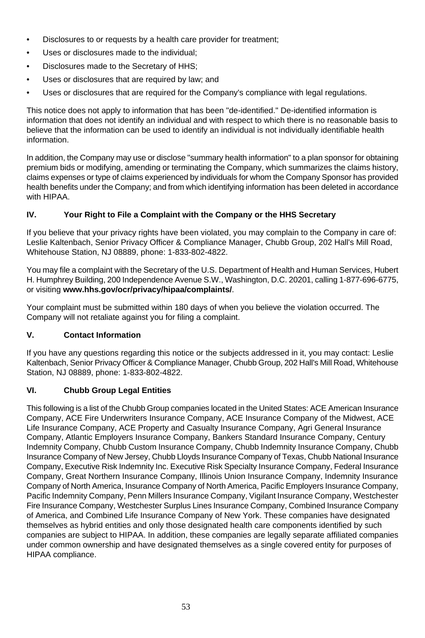- Disclosures to or requests by a health care provider for treatment:
- Uses or disclosures made to the individual:
- Disclosures made to the Secretary of HHS;
- Uses or disclosures that are required by law; and
- Uses or disclosures that are required for the Company's compliance with legal regulations.

This notice does not apply to information that has been "de-identified." De-identified information is information that does not identify an individual and with respect to which there is no reasonable basis to believe that the information can be used to identify an individual is not individually identifiable health information.

In addition, the Company may use or disclose "summary health information" to a plan sponsor for obtaining premium bids or modifying, amending or terminating the Company, which summarizes the claims history, claims expenses or type of claims experienced by individuals for whom the Company Sponsor has provided health benefits under the Company; and from which identifying information has been deleted in accordance with HIPAA

### **IV. Your Right to File a Complaint with the Company or the HHS Secretary**

If you believe that your privacy rights have been violated, you may complain to the Company in care of: Leslie Kaltenbach, Senior Privacy Officer & Compliance Manager, Chubb Group, 202 Hall's Mill Road, Whitehouse Station, NJ 08889, phone: 1-833-802-4822.

You may file a complaint with the Secretary of the U.S. Department of Health and Human Services, Hubert H. Humphrey Building, 200 Independence Avenue S.W., Washington, D.C. 20201, calling 1-877-696-6775, or visiting **www.hhs.gov/ocr/privacy/hipaa/complaints/**.

Your complaint must be submitted within 180 days of when you believe the violation occurred. The Company will not retaliate against you for filing a complaint.

#### **V. Contact Information**

If you have any questions regarding this notice or the subjects addressed in it, you may contact: Leslie Kaltenbach, Senior Privacy Officer & Compliance Manager, Chubb Group, 202 Hall's Mill Road, Whitehouse Station, NJ 08889, phone: 1-833-802-4822.

#### **VI. Chubb Group Legal Entities**

This following is a list of the Chubb Group companies located in the United States: ACE American Insurance Company, ACE Fire Underwriters Insurance Company, ACE Insurance Company of the Midwest, ACE Life Insurance Company, ACE Property and Casualty Insurance Company, Agri General Insurance Company, Atlantic Employers Insurance Company, Bankers Standard Insurance Company, Century Indemnity Company, Chubb Custom Insurance Company, Chubb Indemnity Insurance Company, Chubb Insurance Company of New Jersey, Chubb Lloyds Insurance Company of Texas, Chubb National Insurance Company, Executive Risk Indemnity Inc. Executive Risk Specialty Insurance Company, Federal Insurance Company, Great Northern Insurance Company, Illinois Union Insurance Company, Indemnity Insurance Company of North America, Insurance Company of North America, Pacific Employers Insurance Company, Pacific Indemnity Company, Penn Millers Insurance Company, Vigilant Insurance Company, Westchester Fire Insurance Company, Westchester Surplus Lines Insurance Company, Combined Insurance Company of America, and Combined Life Insurance Company of New York. These companies have designated themselves as hybrid entities and only those designated health care components identified by such companies are subject to HIPAA. In addition, these companies are legally separate affiliated companies under common ownership and have designated themselves as a single covered entity for purposes of HIPAA compliance.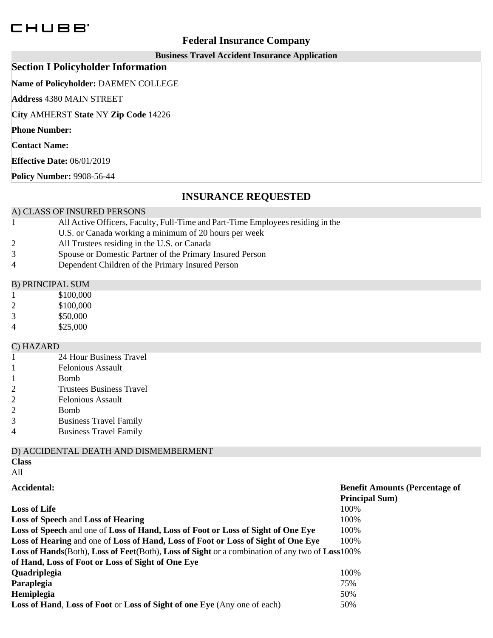# CHUBB<sup>®</sup>

## **Federal Insurance Company**

## **Business Travel Accident Insurance Application**

## **Section I Policyholder Information**

**Name of Policyholder:** DAEMEN COLLEGE

**Address** 4380 MAIN STREET

**City** AMHERST **State** NY **Zip Code** 14226

**Phone Number:**

**Contact Name:**

**Effective Date:** 06/01/2019

**Policy Number:** 9908-56-44

## **INSURANCE REQUESTED**

## A) CLASS OF INSURED PERSONS

- All Active Officers, Faculty, Full-Time and Part-Time Employees residing in the 1
- U.S. or Canada working a minimum of 20 hours per week
- 2 All Trustees residing in the U.S. or Canada
- 3 Spouse or Domestic Partner of the Primary Insured Person
- 4 Dependent Children of the Primary Insured Person

## B) PRINCIPAL SUM

- 1 \$100,000
- 2 \$100,000
- 3 \$50,000
- 4 \$25,000

## C) HAZARD

- 1 24 Hour Business Travel
- 1 Felonious Assault
- 1 Bomb
- 2 Trustees Business Travel<br>2 Felonious Assault
- Felonious Assault
- 2 Bomb
- 3 Business Travel Family
- 4 Business Travel Family

## D) ACCIDENTAL DEATH AND DISMEMBERMENT

**Class**

All

| Accidental:                                                                                    | <b>Benefit Amounts (Percentage of</b> |
|------------------------------------------------------------------------------------------------|---------------------------------------|
|                                                                                                | <b>Principal Sum</b> )                |
| <b>Loss of Life</b>                                                                            | 100%                                  |
| <b>Loss of Speech and Loss of Hearing</b>                                                      | 100%                                  |
| Loss of Speech and one of Loss of Hand, Loss of Foot or Loss of Sight of One Eye               | 100\%                                 |
| Loss of Hearing and one of Loss of Hand, Loss of Foot or Loss of Sight of One Eye              | 100%                                  |
| Loss of Hands(Both), Loss of Feet(Both), Loss of Sight or a combination of any two of Loss100% |                                       |
| of Hand, Loss of Foot or Loss of Sight of One Eye                                              |                                       |
| Quadriplegia                                                                                   | 100%                                  |
| Paraplegia                                                                                     | 75%                                   |
| Hemiplegia                                                                                     | 50%                                   |
| <b>Loss of Hand, Loss of Foot or Loss of Sight of one Eye</b> (Any one of each)                | 50%                                   |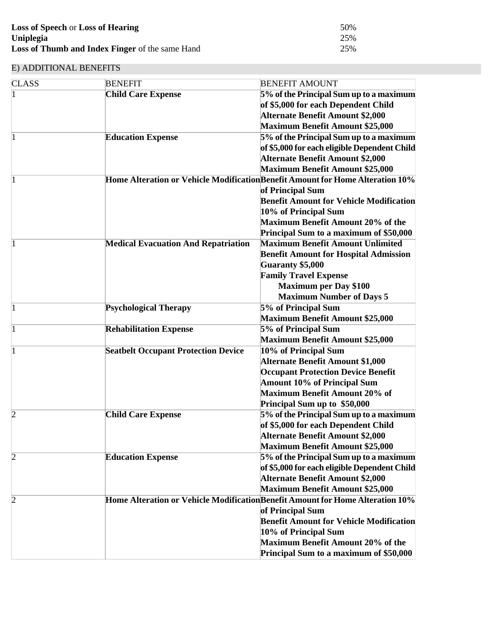| <b>Loss of Speech or Loss of Hearing</b>               | 50% |
|--------------------------------------------------------|-----|
| Uniplegia                                              | 25% |
| <b>Loss of Thumb and Index Finger</b> of the same Hand | 25% |

## E) ADDITIONAL BENEFITS

| <b>CLASS</b>   | <b>BENEFIT</b>                             | <b>BENEFIT AMOUNT</b>                                                         |
|----------------|--------------------------------------------|-------------------------------------------------------------------------------|
| $\mathbf{1}$   | <b>Child Care Expense</b>                  | 5% of the Principal Sum up to a maximum                                       |
|                |                                            | of \$5,000 for each Dependent Child                                           |
|                |                                            | <b>Alternate Benefit Amount \$2,000</b>                                       |
|                |                                            | <b>Maximum Benefit Amount \$25,000</b>                                        |
| 1              | <b>Education Expense</b>                   | 5% of the Principal Sum up to a maximum                                       |
|                |                                            | of \$5,000 for each eligible Dependent Child                                  |
|                |                                            | <b>Alternate Benefit Amount \$2,000</b>                                       |
|                |                                            | <b>Maximum Benefit Amount \$25,000</b>                                        |
| 1              |                                            | Home Alteration or Vehicle ModificationBenefit Amount for Home Alteration 10% |
|                |                                            | of Principal Sum                                                              |
|                |                                            | <b>Benefit Amount for Vehicle Modification</b>                                |
|                |                                            | 10% of Principal Sum                                                          |
|                |                                            | <b>Maximum Benefit Amount 20% of the</b>                                      |
|                |                                            | Principal Sum to a maximum of \$50,000                                        |
| 1              | <b>Medical Evacuation And Repatriation</b> | <b>Maximum Benefit Amount Unlimited</b>                                       |
|                |                                            | <b>Benefit Amount for Hospital Admission</b>                                  |
|                |                                            | <b>Guaranty \$5,000</b>                                                       |
|                |                                            | <b>Family Travel Expense</b>                                                  |
|                |                                            | <b>Maximum per Day \$100</b>                                                  |
|                |                                            | <b>Maximum Number of Days 5</b>                                               |
| $\mathbf{1}$   | <b>Psychological Therapy</b>               | 5% of Principal Sum                                                           |
|                |                                            | <b>Maximum Benefit Amount \$25,000</b>                                        |
| 1              | <b>Rehabilitation Expense</b>              | 5% of Principal Sum                                                           |
|                |                                            | <b>Maximum Benefit Amount \$25,000</b>                                        |
| $\mathbf{1}$   | <b>Seatbelt Occupant Protection Device</b> | 10% of Principal Sum                                                          |
|                |                                            | <b>Alternate Benefit Amount \$1,000</b>                                       |
|                |                                            | <b>Occupant Protection Device Benefit</b>                                     |
|                |                                            | <b>Amount 10% of Principal Sum</b>                                            |
|                |                                            | <b>Maximum Benefit Amount 20% of</b>                                          |
|                |                                            | Principal Sum up to \$50,000                                                  |
| 2              | <b>Child Care Expense</b>                  | 5% of the Principal Sum up to a maximum                                       |
|                |                                            | of \$5,000 for each Dependent Child                                           |
|                |                                            | <b>Alternate Benefit Amount \$2,000</b>                                       |
|                |                                            | <b>Maximum Benefit Amount \$25,000</b>                                        |
| $\overline{c}$ | <b>Education Expense</b>                   | 5% of the Principal Sum up to a maximum                                       |
|                |                                            | of \$5,000 for each eligible Dependent Child                                  |
|                |                                            | <b>Alternate Benefit Amount \$2,000</b>                                       |
|                |                                            | <b>Maximum Benefit Amount \$25,000</b>                                        |
| $\overline{c}$ |                                            | Home Alteration or Vehicle ModificationBenefit Amount for Home Alteration 10% |
|                |                                            | of Principal Sum                                                              |
|                |                                            | <b>Benefit Amount for Vehicle Modification</b>                                |
|                |                                            | 10% of Principal Sum                                                          |
|                |                                            | <b>Maximum Benefit Amount 20% of the</b>                                      |
|                |                                            | Principal Sum to a maximum of \$50,000                                        |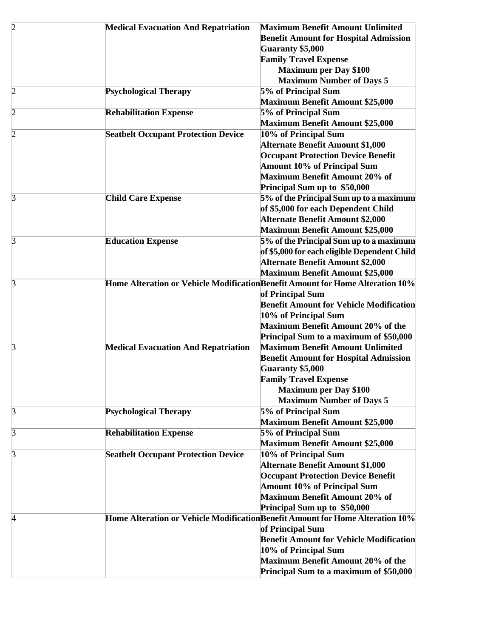| $\overline{2}$ | <b>Medical Evacuation And Repatriation</b> | <b>Maximum Benefit Amount Unlimited</b>                                        |
|----------------|--------------------------------------------|--------------------------------------------------------------------------------|
|                |                                            | <b>Benefit Amount for Hospital Admission</b>                                   |
|                |                                            | <b>Guaranty \$5,000</b>                                                        |
|                |                                            | <b>Family Travel Expense</b>                                                   |
|                |                                            | <b>Maximum per Day \$100</b>                                                   |
|                |                                            | <b>Maximum Number of Days 5</b>                                                |
| $\overline{c}$ | <b>Psychological Therapy</b>               | 5% of Principal Sum                                                            |
|                |                                            | <b>Maximum Benefit Amount \$25,000</b>                                         |
| $\overline{c}$ | <b>Rehabilitation Expense</b>              | 5% of Principal Sum                                                            |
|                |                                            | <b>Maximum Benefit Amount \$25,000</b>                                         |
| $\overline{c}$ | <b>Seatbelt Occupant Protection Device</b> | 10% of Principal Sum                                                           |
|                |                                            | <b>Alternate Benefit Amount \$1,000</b>                                        |
|                |                                            | <b>Occupant Protection Device Benefit</b>                                      |
|                |                                            | <b>Amount 10% of Principal Sum</b>                                             |
|                |                                            | <b>Maximum Benefit Amount 20% of</b>                                           |
|                |                                            | Principal Sum up to \$50,000                                                   |
| 3              | <b>Child Care Expense</b>                  | 5% of the Principal Sum up to a maximum                                        |
|                |                                            | of \$5,000 for each Dependent Child                                            |
|                |                                            | <b>Alternate Benefit Amount \$2,000</b>                                        |
|                |                                            | <b>Maximum Benefit Amount \$25,000</b>                                         |
| 3              | <b>Education Expense</b>                   | 5% of the Principal Sum up to a maximum                                        |
|                |                                            | of \$5,000 for each eligible Dependent Child                                   |
|                |                                            |                                                                                |
|                |                                            | <b>Alternate Benefit Amount \$2,000</b>                                        |
|                |                                            | <b>Maximum Benefit Amount \$25,000</b>                                         |
| 3              |                                            | Home Alteration or Vehicle ModificationBenefit Amount for Home Alteration 10%  |
|                |                                            | of Principal Sum                                                               |
|                |                                            | <b>Benefit Amount for Vehicle Modification</b>                                 |
|                |                                            | 10% of Principal Sum                                                           |
|                |                                            | <b>Maximum Benefit Amount 20% of the</b>                                       |
|                |                                            | Principal Sum to a maximum of \$50,000                                         |
| 3              | <b>Medical Evacuation And Repatriation</b> | <b>Maximum Benefit Amount Unlimited</b>                                        |
|                |                                            | <b>Benefit Amount for Hospital Admission</b>                                   |
|                |                                            | <b>Guaranty \$5,000</b>                                                        |
|                |                                            | <b>Family Travel Expense</b>                                                   |
|                |                                            | <b>Maximum per Day \$100</b>                                                   |
|                |                                            | <b>Maximum Number of Days 5</b>                                                |
| 3              | <b>Psychological Therapy</b>               | 5% of Principal Sum                                                            |
|                |                                            | <b>Maximum Benefit Amount \$25,000</b>                                         |
| 3              | <b>Rehabilitation Expense</b>              | 5% of Principal Sum                                                            |
|                |                                            | <b>Maximum Benefit Amount \$25,000</b>                                         |
| 3              | <b>Seatbelt Occupant Protection Device</b> | 10% of Principal Sum                                                           |
|                |                                            | <b>Alternate Benefit Amount \$1,000</b>                                        |
|                |                                            | <b>Occupant Protection Device Benefit</b>                                      |
|                |                                            | <b>Amount 10% of Principal Sum</b>                                             |
|                |                                            | <b>Maximum Benefit Amount 20% of</b>                                           |
|                |                                            | Principal Sum up to \$50,000                                                   |
| 4              |                                            | Home Alteration or Vehicle Modification Benefit Amount for Home Alteration 10% |
|                |                                            | of Principal Sum                                                               |
|                |                                            | <b>Benefit Amount for Vehicle Modification</b>                                 |
|                |                                            | 10% of Principal Sum                                                           |
|                |                                            | <b>Maximum Benefit Amount 20% of the</b>                                       |
|                |                                            | Principal Sum to a maximum of \$50,000                                         |